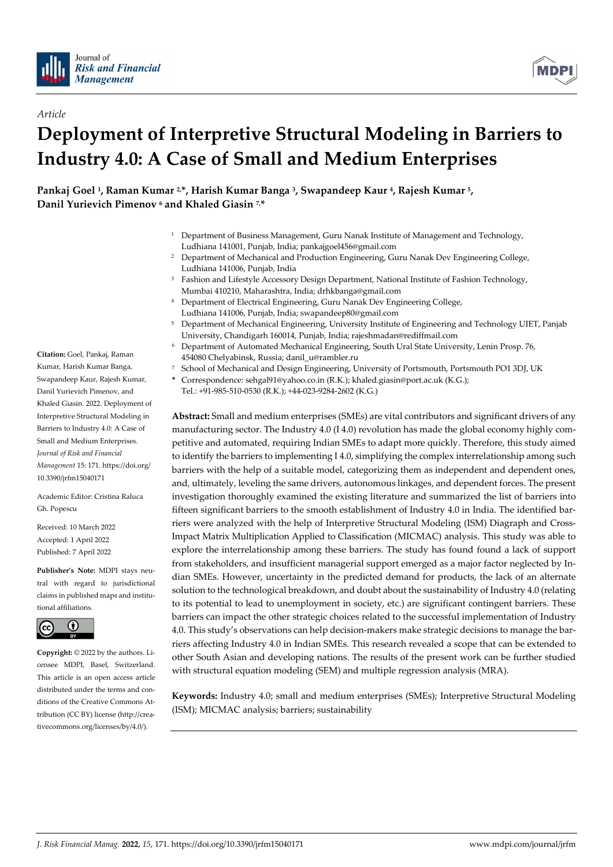

*Article*



# **Deployment of Interpretive Structural Modeling in Barriers to Industry 4.0: A Case of Small and Medium Enterprises**

**Pankaj Goel 1, Raman Kumar 2,\*, Harish Kumar Banga 3, Swapandeep Kaur 4, Rajesh Kumar 5, Danil Yurievich Pimenov 6 and Khaled Giasin 7, \***

- <sup>1</sup> Department of Business Management, Guru Nanak Institute of Management and Technology, Ludhiana 141001, Punjab, India; pankajgoel456@gmail.com
- <sup>2</sup> Department of Mechanical and Production Engineering, Guru Nanak Dev Engineering College, Ludhiana 141006, Punjab, India
- <sup>3</sup> Fashion and Lifestyle Accessory Design Department, National Institute of Fashion Technology, Mumbai 410210, Maharashtra, India; drhkbanga@gmail.com
- <sup>4</sup> Department of Electrical Engineering, Guru Nanak Dev Engineering College, Ludhiana 141006, Punjab, India; swapandeep80@gmail.com
- <sup>5</sup> Department of Mechanical Engineering, University Institute of Engineering and Technology UIET, Panjab University, Chandigarh 160014, Punjab, India; rajeshmadan@rediffmail.com
- <sup>6</sup> Department of Automated Mechanical Engineering, South Ural State University, Lenin Prosp. 76, 454080 Chelyabinsk, Russia; danil\_u@rambler.ru
- <sup>7</sup> School of Mechanical and Design Engineering, University of Portsmouth, Portsmouth PO1 3DJ, UK
- **\*** Correspondence: sehgal91@yahoo.co.in (R.K.); khaled.giasin@port.ac.uk (K.G.); Tel.: +91-985-510-0530 (R.K.); +44-023-9284-2602 (K.G.)

**Abstract:** Small and medium enterprises (SMEs) are vital contributors and significant drivers of any manufacturing sector. The Industry 4.0 (I 4.0) revolution has made the global economy highly competitive and automated, requiring Indian SMEs to adapt more quickly. Therefore, this study aimed to identify the barriers to implementing I 4.0, simplifying the complex interrelationship among such barriers with the help of a suitable model, categorizing them as independent and dependent ones, and, ultimately, leveling the same drivers, autonomous linkages, and dependent forces. The present investigation thoroughly examined the existing literature and summarized the list of barriers into fifteen significant barriers to the smooth establishment of Industry 4.0 in India. The identified barriers were analyzed with the help of Interpretive Structural Modeling (ISM) Diagraph and Cross-Impact Matrix Multiplication Applied to Classification (MICMAC) analysis. This study was able to explore the interrelationship among these barriers. The study has found found a lack of support from stakeholders, and insufficient managerial support emerged as a major factor neglected by Indian SMEs. However, uncertainty in the predicted demand for products, the lack of an alternate solution to the technological breakdown, and doubt about the sustainability of Industry 4.0 (relating to its potential to lead to unemployment in society, etc.) are significant contingent barriers. These barriers can impact the other strategic choices related to the successful implementation of Industry 4.0. This study's observations can help decision-makers make strategic decisions to manage the barriers affecting Industry 4.0 in Indian SMEs. This research revealed a scope that can be extended to other South Asian and developing nations. The results of the present work can be further studied with structural equation modeling (SEM) and multiple regression analysis (MRA).

**Keywords:** Industry 4.0; small and medium enterprises (SMEs); Interpretive Structural Modeling (ISM); MICMAC analysis; barriers; sustainability

**Citation:** Goel, Pankaj, Raman Kumar, Harish Kumar Banga, Swapandeep Kaur, Rajesh Kumar, Danil Yurievich Pimenov, and Khaled Giasin. 2022. Deployment of Interpretive Structural Modeling in Barriers to Industry 4.0: A Case of Small and Medium Enterprises. *Journal of Risk and Financial Management* 15: 171. https://doi.org/ 10.3390/jrfm15040171

Academic Editor: Cristina Raluca Gh. Popescu

Received: 10 March 2022 Accepted: 1 April 2022 Published: 7 April 2022

**Publisher's Note:** MDPI stays neutral with regard to jurisdictional claims in published maps and institutional affiliations.



**Copyright:** © 2022 by the authors. Licensee MDPI, Basel, Switzerland. This article is an open access article distributed under the terms and conditions of the Creative Commons Attribution (CC BY) license (http://creativecommons.org/licenses/by/4.0/).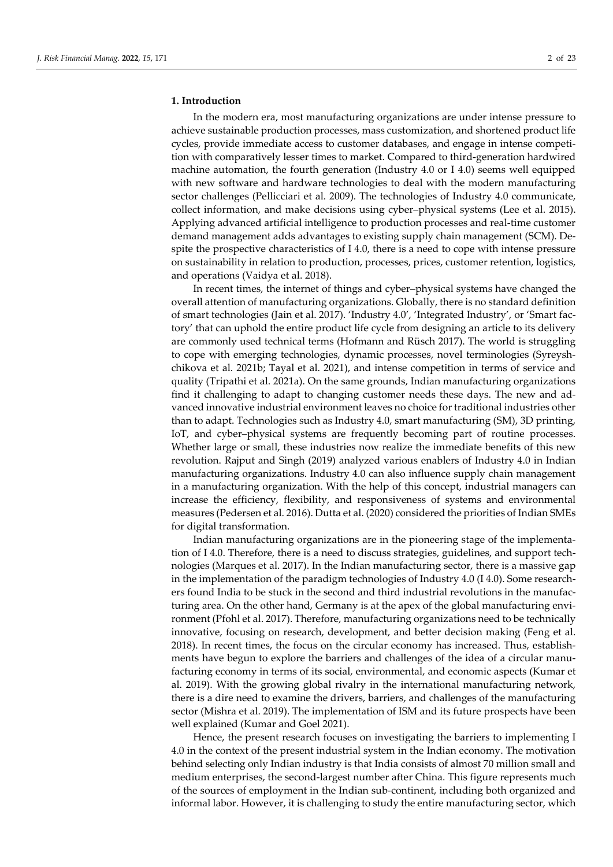## **1. Introduction**

In the modern era, most manufacturing organizations are under intense pressure to achieve sustainable production processes, mass customization, and shortened product life cycles, provide immediate access to customer databases, and engage in intense competition with comparatively lesser times to market. Compared to third-generation hardwired machine automation, the fourth generation (Industry 4.0 or I 4.0) seems well equipped with new software and hardware technologies to deal with the modern manufacturing sector challenges (Pellicciari et al. 2009). The technologies of Industry 4.0 communicate, collect information, and make decisions using cyber–physical systems (Lee et al. 2015). Applying advanced artificial intelligence to production processes and real-time customer demand management adds advantages to existing supply chain management (SCM). Despite the prospective characteristics of I 4.0, there is a need to cope with intense pressure on sustainability in relation to production, processes, prices, customer retention, logistics, and operations (Vaidya et al. 2018).

In recent times, the internet of things and cyber–physical systems have changed the overall attention of manufacturing organizations. Globally, there is no standard definition of smart technologies (Jain et al. 2017). 'Industry 4.0', 'Integrated Industry', or 'Smart factory' that can uphold the entire product life cycle from designing an article to its delivery are commonly used technical terms (Hofmann and Rüsch 2017). The world is struggling to cope with emerging technologies, dynamic processes, novel terminologies (Syreyshchikova et al. 2021b; Tayal et al. 2021), and intense competition in terms of service and quality (Tripathi et al. 2021a). On the same grounds, Indian manufacturing organizations find it challenging to adapt to changing customer needs these days. The new and advanced innovative industrial environment leaves no choice for traditional industries other than to adapt. Technologies such as Industry 4.0, smart manufacturing (SM), 3D printing, IoT, and cyber–physical systems are frequently becoming part of routine processes. Whether large or small, these industries now realize the immediate benefits of this new revolution. Rajput and Singh (2019) analyzed various enablers of Industry 4.0 in Indian manufacturing organizations. Industry 4.0 can also influence supply chain management in a manufacturing organization. With the help of this concept, industrial managers can increase the efficiency, flexibility, and responsiveness of systems and environmental measures (Pedersen et al. 2016). Dutta et al. (2020) considered the priorities of Indian SMEs for digital transformation.

Indian manufacturing organizations are in the pioneering stage of the implementation of I 4.0. Therefore, there is a need to discuss strategies, guidelines, and support technologies (Marques et al. 2017). In the Indian manufacturing sector, there is a massive gap in the implementation of the paradigm technologies of Industry 4.0 (I 4.0). Some researchers found India to be stuck in the second and third industrial revolutions in the manufacturing area. On the other hand, Germany is at the apex of the global manufacturing environment (Pfohl et al. 2017). Therefore, manufacturing organizations need to be technically innovative, focusing on research, development, and better decision making (Feng et al. 2018). In recent times, the focus on the circular economy has increased. Thus, establishments have begun to explore the barriers and challenges of the idea of a circular manufacturing economy in terms of its social, environmental, and economic aspects (Kumar et al. 2019). With the growing global rivalry in the international manufacturing network, there is a dire need to examine the drivers, barriers, and challenges of the manufacturing sector (Mishra et al. 2019). The implementation of ISM and its future prospects have been well explained (Kumar and Goel 2021).

Hence, the present research focuses on investigating the barriers to implementing I 4.0 in the context of the present industrial system in the Indian economy. The motivation behind selecting only Indian industry is that India consists of almost 70 million small and medium enterprises, the second-largest number after China. This figure represents much of the sources of employment in the Indian sub-continent, including both organized and informal labor. However, it is challenging to study the entire manufacturing sector, which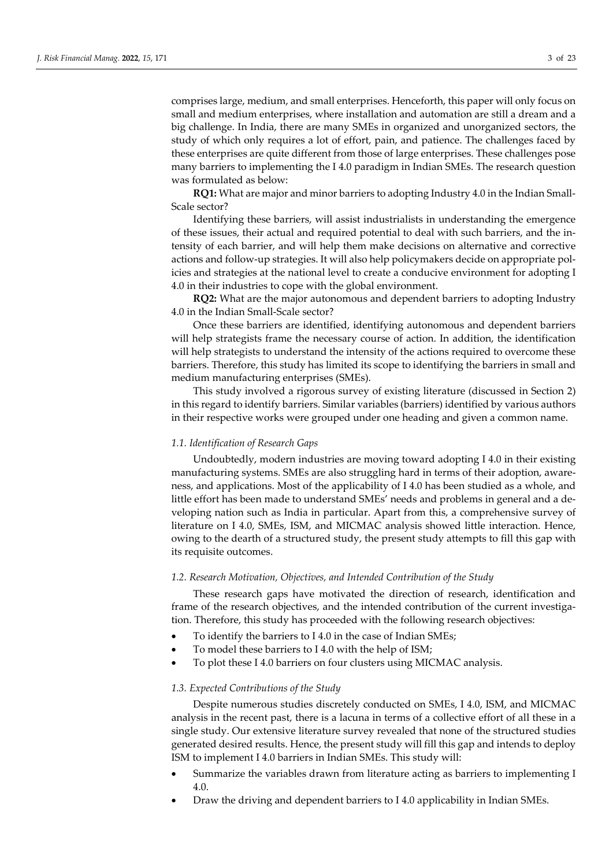comprises large, medium, and small enterprises. Henceforth, this paper will only focus on small and medium enterprises, where installation and automation are still a dream and a big challenge. In India, there are many SMEs in organized and unorganized sectors, the study of which only requires a lot of effort, pain, and patience. The challenges faced by these enterprises are quite different from those of large enterprises. These challenges pose many barriers to implementing the I 4.0 paradigm in Indian SMEs. The research question was formulated as below:

**RQ1:** What are major and minor barriers to adopting Industry 4.0 in the Indian Small-Scale sector?

Identifying these barriers, will assist industrialists in understanding the emergence of these issues, their actual and required potential to deal with such barriers, and the intensity of each barrier, and will help them make decisions on alternative and corrective actions and follow-up strategies. It will also help policymakers decide on appropriate policies and strategies at the national level to create a conducive environment for adopting I 4.0 in their industries to cope with the global environment.

**RQ2:** What are the major autonomous and dependent barriers to adopting Industry 4.0 in the Indian Small-Scale sector?

Once these barriers are identified, identifying autonomous and dependent barriers will help strategists frame the necessary course of action. In addition, the identification will help strategists to understand the intensity of the actions required to overcome these barriers. Therefore, this study has limited its scope to identifying the barriers in small and medium manufacturing enterprises (SMEs).

This study involved a rigorous survey of existing literature (discussed in Section 2) in this regard to identify barriers. Similar variables (barriers) identified by various authors in their respective works were grouped under one heading and given a common name.

## *1.1. Identification of Research Gaps*

Undoubtedly, modern industries are moving toward adopting I 4.0 in their existing manufacturing systems. SMEs are also struggling hard in terms of their adoption, awareness, and applications. Most of the applicability of I 4.0 has been studied as a whole, and little effort has been made to understand SMEs' needs and problems in general and a developing nation such as India in particular. Apart from this, a comprehensive survey of literature on I 4.0, SMEs, ISM, and MICMAC analysis showed little interaction. Hence, owing to the dearth of a structured study, the present study attempts to fill this gap with its requisite outcomes.

#### *1.2. Research Motivation, Objectives, and Intended Contribution of the Study*

These research gaps have motivated the direction of research, identification and frame of the research objectives, and the intended contribution of the current investigation. Therefore, this study has proceeded with the following research objectives:

- To identify the barriers to I 4.0 in the case of Indian SMEs;
- To model these barriers to I 4.0 with the help of ISM;
- To plot these I 4.0 barriers on four clusters using MICMAC analysis.

## *1.3. Expected Contributions of the Study*

Despite numerous studies discretely conducted on SMEs, I 4.0, ISM, and MICMAC analysis in the recent past, there is a lacuna in terms of a collective effort of all these in a single study. Our extensive literature survey revealed that none of the structured studies generated desired results. Hence, the present study will fill this gap and intends to deploy ISM to implement I 4.0 barriers in Indian SMEs. This study will:

- Summarize the variables drawn from literature acting as barriers to implementing I 4.0.
- Draw the driving and dependent barriers to I 4.0 applicability in Indian SMEs.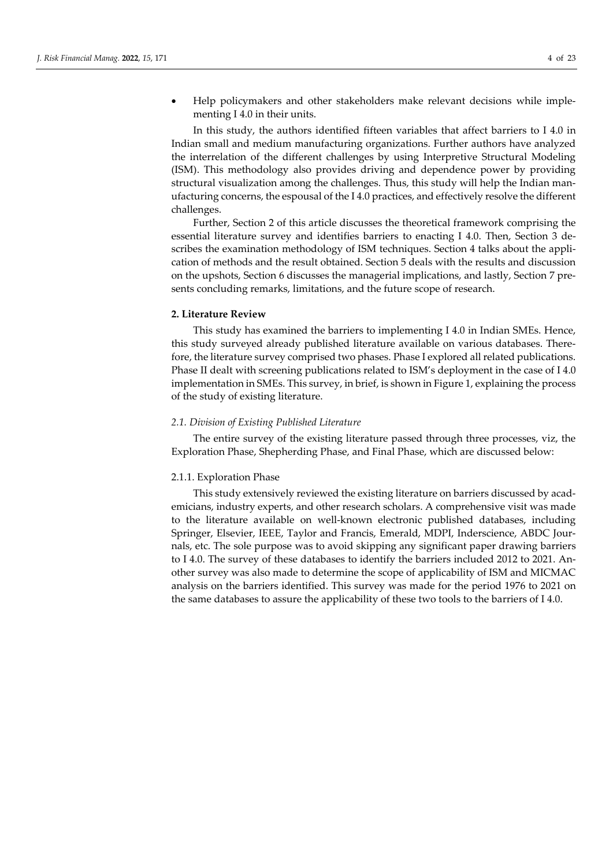Help policymakers and other stakeholders make relevant decisions while implementing I 4.0 in their units.

In this study, the authors identified fifteen variables that affect barriers to I 4.0 in Indian small and medium manufacturing organizations. Further authors have analyzed the interrelation of the different challenges by using Interpretive Structural Modeling (ISM). This methodology also provides driving and dependence power by providing structural visualization among the challenges. Thus, this study will help the Indian manufacturing concerns, the espousal of the I 4.0 practices, and effectively resolve the different challenges.

Further, Section 2 of this article discusses the theoretical framework comprising the essential literature survey and identifies barriers to enacting I 4.0. Then, Section 3 describes the examination methodology of ISM techniques. Section 4 talks about the application of methods and the result obtained. Section 5 deals with the results and discussion on the upshots, Section 6 discusses the managerial implications, and lastly, Section 7 presents concluding remarks, limitations, and the future scope of research.

## **2. Literature Review**

This study has examined the barriers to implementing I 4.0 in Indian SMEs. Hence, this study surveyed already published literature available on various databases. Therefore, the literature survey comprised two phases. Phase I explored all related publications. Phase II dealt with screening publications related to ISM's deployment in the case of I 4.0 implementation in SMEs. This survey, in brief, is shown in Figure 1, explaining the process of the study of existing literature.

## *2.1. Division of Existing Published Literature*

The entire survey of the existing literature passed through three processes, viz, the Exploration Phase, Shepherding Phase, and Final Phase, which are discussed below:

## 2.1.1. Exploration Phase

This study extensively reviewed the existing literature on barriers discussed by academicians, industry experts, and other research scholars. A comprehensive visit was made to the literature available on well-known electronic published databases, including Springer, Elsevier, IEEE, Taylor and Francis, Emerald, MDPI, Inderscience, ABDC Journals, etc. The sole purpose was to avoid skipping any significant paper drawing barriers to I 4.0. The survey of these databases to identify the barriers included 2012 to 2021. Another survey was also made to determine the scope of applicability of ISM and MICMAC analysis on the barriers identified. This survey was made for the period 1976 to 2021 on the same databases to assure the applicability of these two tools to the barriers of I 4.0.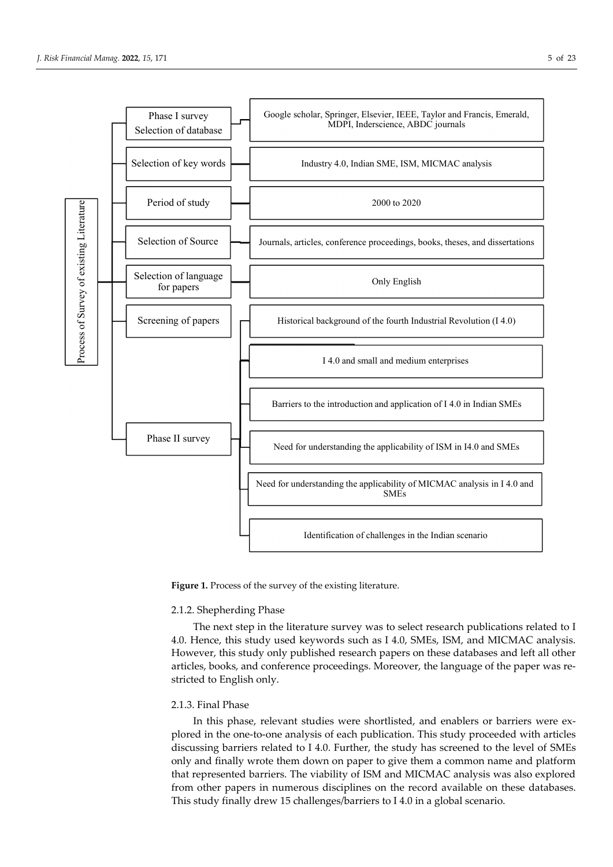

Figure 1. Process of the survey of the existing literature.

## 2.1.2. Shepherding Phase

The next step in the literature survey was to select research publications related to I 4.0. Hence, this study used keywords such as I 4.0, SMEs, ISM, and MICMAC analysis. However, this study only published research papers on these databases and left all other articles, books, and conference proceedings. Moreover, the language of the paper was restricted to English only.

# 2.1.3. Final Phase

In this phase, relevant studies were shortlisted, and enablers or barriers were explored in the one-to-one analysis of each publication. This study proceeded with articles discussing barriers related to I 4.0. Further, the study has screened to the level of SMEs only and finally wrote them down on paper to give them a common name and platform that represented barriers. The viability of ISM and MICMAC analysis was also explored from other papers in numerous disciplines on the record available on these databases. This study finally drew 15 challenges/barriers to I 4.0 in a global scenario.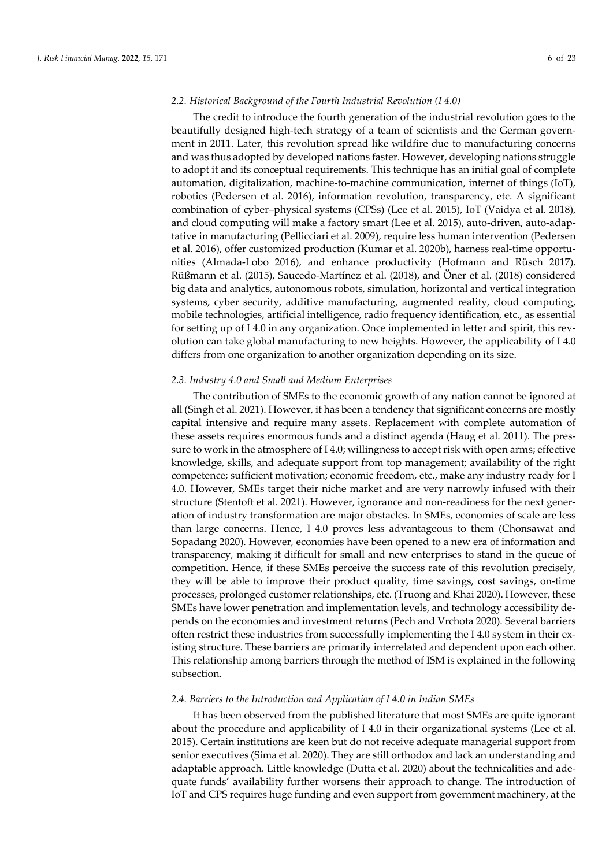## *2.2. Historical Background of the Fourth Industrial Revolution (I 4.0)*

The credit to introduce the fourth generation of the industrial revolution goes to the beautifully designed high-tech strategy of a team of scientists and the German government in 2011. Later, this revolution spread like wildfire due to manufacturing concerns and was thus adopted by developed nations faster. However, developing nations struggle to adopt it and its conceptual requirements. This technique has an initial goal of complete automation, digitalization, machine-to-machine communication, internet of things (IoT), robotics (Pedersen et al. 2016), information revolution, transparency, etc. A significant combination of cyber–physical systems (CPSs) (Lee et al. 2015), IoT (Vaidya et al. 2018), and cloud computing will make a factory smart (Lee et al. 2015), auto-driven, auto-adaptative in manufacturing (Pellicciari et al. 2009), require less human intervention (Pedersen et al. 2016), offer customized production (Kumar et al. 2020b), harness real-time opportunities (Almada-Lobo 2016), and enhance productivity (Hofmann and Rüsch 2017). Rüßmann et al. (2015), Saucedo-Martínez et al. (2018), and Öner et al. (2018) considered big data and analytics, autonomous robots, simulation, horizontal and vertical integration systems, cyber security, additive manufacturing, augmented reality, cloud computing, mobile technologies, artificial intelligence, radio frequency identification, etc., as essential for setting up of I 4.0 in any organization. Once implemented in letter and spirit, this revolution can take global manufacturing to new heights. However, the applicability of I 4.0 differs from one organization to another organization depending on its size.

## *2.3. Industry 4.0 and Small and Medium Enterprises*

The contribution of SMEs to the economic growth of any nation cannot be ignored at all (Singh et al. 2021). However, it has been a tendency that significant concerns are mostly capital intensive and require many assets. Replacement with complete automation of these assets requires enormous funds and a distinct agenda (Haug et al. 2011). The pressure to work in the atmosphere of I 4.0; willingness to accept risk with open arms; effective knowledge, skills, and adequate support from top management; availability of the right competence; sufficient motivation; economic freedom, etc., make any industry ready for I 4.0. However, SMEs target their niche market and are very narrowly infused with their structure (Stentoft et al. 2021). However, ignorance and non-readiness for the next generation of industry transformation are major obstacles. In SMEs, economies of scale are less than large concerns. Hence, I 4.0 proves less advantageous to them (Chonsawat and Sopadang 2020). However, economies have been opened to a new era of information and transparency, making it difficult for small and new enterprises to stand in the queue of competition. Hence, if these SMEs perceive the success rate of this revolution precisely, they will be able to improve their product quality, time savings, cost savings, on-time processes, prolonged customer relationships, etc. (Truong and Khai 2020). However, these SMEs have lower penetration and implementation levels, and technology accessibility depends on the economies and investment returns (Pech and Vrchota 2020). Several barriers often restrict these industries from successfully implementing the I 4.0 system in their existing structure. These barriers are primarily interrelated and dependent upon each other. This relationship among barriers through the method of ISM is explained in the following subsection.

## *2.4. Barriers to the Introduction and Application of I 4.0 in Indian SMEs*

It has been observed from the published literature that most SMEs are quite ignorant about the procedure and applicability of I 4.0 in their organizational systems (Lee et al. 2015). Certain institutions are keen but do not receive adequate managerial support from senior executives (Sima et al. 2020). They are still orthodox and lack an understanding and adaptable approach. Little knowledge (Dutta et al. 2020) about the technicalities and adequate funds' availability further worsens their approach to change. The introduction of IoT and CPS requires huge funding and even support from government machinery, at the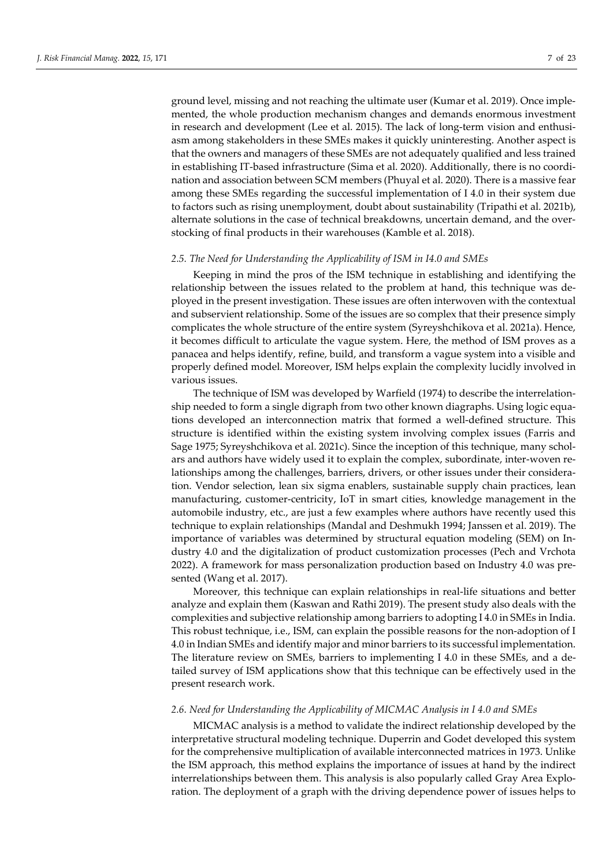ground level, missing and not reaching the ultimate user (Kumar et al. 2019). Once implemented, the whole production mechanism changes and demands enormous investment in research and development (Lee et al. 2015). The lack of long-term vision and enthusiasm among stakeholders in these SMEs makes it quickly uninteresting. Another aspect is that the owners and managers of these SMEs are not adequately qualified and less trained in establishing IT-based infrastructure (Sima et al. 2020). Additionally, there is no coordination and association between SCM members (Phuyal et al. 2020). There is a massive fear among these SMEs regarding the successful implementation of I 4.0 in their system due to factors such as rising unemployment, doubt about sustainability (Tripathi et al. 2021b), alternate solutions in the case of technical breakdowns, uncertain demand, and the overstocking of final products in their warehouses (Kamble et al. 2018).

#### *2.5. The Need for Understanding the Applicability of ISM in I4.0 and SMEs*

Keeping in mind the pros of the ISM technique in establishing and identifying the relationship between the issues related to the problem at hand, this technique was deployed in the present investigation. These issues are often interwoven with the contextual and subservient relationship. Some of the issues are so complex that their presence simply complicates the whole structure of the entire system (Syreyshchikova et al. 2021a). Hence, it becomes difficult to articulate the vague system. Here, the method of ISM proves as a panacea and helps identify, refine, build, and transform a vague system into a visible and properly defined model. Moreover, ISM helps explain the complexity lucidly involved in various issues.

The technique of ISM was developed by Warfield (1974) to describe the interrelationship needed to form a single digraph from two other known diagraphs. Using logic equations developed an interconnection matrix that formed a well-defined structure. This structure is identified within the existing system involving complex issues (Farris and Sage 1975; Syreyshchikova et al. 2021c). Since the inception of this technique, many scholars and authors have widely used it to explain the complex, subordinate, inter-woven relationships among the challenges, barriers, drivers, or other issues under their consideration. Vendor selection, lean six sigma enablers, sustainable supply chain practices, lean manufacturing, customer-centricity, IoT in smart cities, knowledge management in the automobile industry, etc., are just a few examples where authors have recently used this technique to explain relationships (Mandal and Deshmukh 1994; Janssen et al. 2019). The importance of variables was determined by structural equation modeling (SEM) on Industry 4.0 and the digitalization of product customization processes (Pech and Vrchota 2022). A framework for mass personalization production based on Industry 4.0 was presented (Wang et al. 2017).

Moreover, this technique can explain relationships in real-life situations and better analyze and explain them (Kaswan and Rathi 2019). The present study also deals with the complexities and subjective relationship among barriers to adopting I 4.0 in SMEs in India. This robust technique, i.e., ISM, can explain the possible reasons for the non-adoption of I 4.0 in Indian SMEs and identify major and minor barriers to its successful implementation. The literature review on SMEs, barriers to implementing I 4.0 in these SMEs, and a detailed survey of ISM applications show that this technique can be effectively used in the present research work.

#### *2.6. Need for Understanding the Applicability of MICMAC Analysis in I 4.0 and SMEs*

MICMAC analysis is a method to validate the indirect relationship developed by the interpretative structural modeling technique. Duperrin and Godet developed this system for the comprehensive multiplication of available interconnected matrices in 1973. Unlike the ISM approach, this method explains the importance of issues at hand by the indirect interrelationships between them. This analysis is also popularly called Gray Area Exploration. The deployment of a graph with the driving dependence power of issues helps to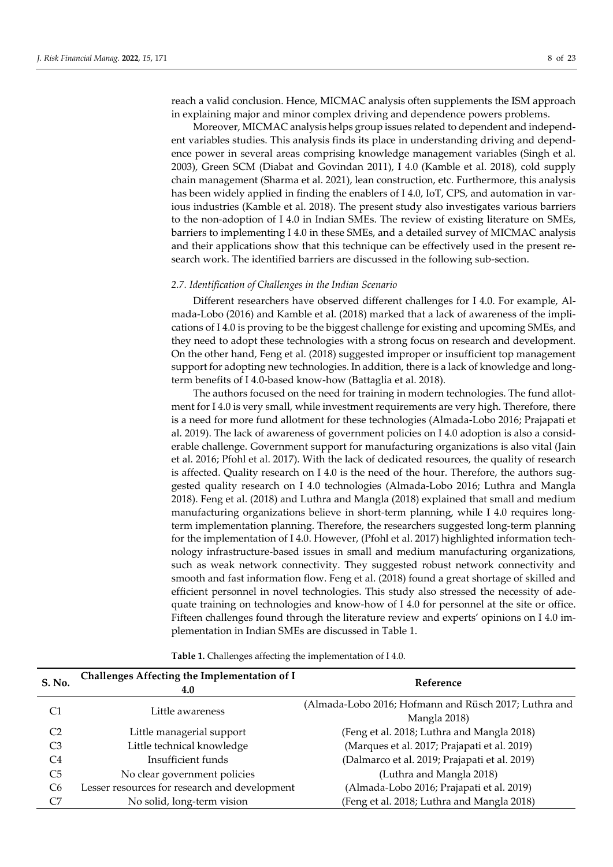reach a valid conclusion. Hence, MICMAC analysis often supplements the ISM approach in explaining major and minor complex driving and dependence powers problems.

Moreover, MICMAC analysis helps group issues related to dependent and independent variables studies. This analysis finds its place in understanding driving and dependence power in several areas comprising knowledge management variables (Singh et al. 2003), Green SCM (Diabat and Govindan 2011), I 4.0 (Kamble et al. 2018), cold supply chain management (Sharma et al. 2021), lean construction, etc. Furthermore, this analysis has been widely applied in finding the enablers of I 4.0, IoT, CPS, and automation in various industries (Kamble et al. 2018). The present study also investigates various barriers to the non-adoption of I 4.0 in Indian SMEs. The review of existing literature on SMEs, barriers to implementing I 4.0 in these SMEs, and a detailed survey of MICMAC analysis and their applications show that this technique can be effectively used in the present research work. The identified barriers are discussed in the following sub-section.

#### *2.7. Identification of Challenges in the Indian Scenario*

Different researchers have observed different challenges for I 4.0. For example, Almada-Lobo (2016) and Kamble et al. (2018) marked that a lack of awareness of the implications of I 4.0 is proving to be the biggest challenge for existing and upcoming SMEs, and they need to adopt these technologies with a strong focus on research and development. On the other hand, Feng et al. (2018) suggested improper or insufficient top management support for adopting new technologies. In addition, there is a lack of knowledge and longterm benefits of I 4.0-based know-how (Battaglia et al. 2018).

The authors focused on the need for training in modern technologies. The fund allotment for I 4.0 is very small, while investment requirements are very high. Therefore, there is a need for more fund allotment for these technologies (Almada-Lobo 2016; Prajapati et al. 2019). The lack of awareness of government policies on I 4.0 adoption is also a considerable challenge. Government support for manufacturing organizations is also vital (Jain et al. 2016; Pfohl et al. 2017). With the lack of dedicated resources, the quality of research is affected. Quality research on I 4.0 is the need of the hour. Therefore, the authors suggested quality research on I 4.0 technologies (Almada-Lobo 2016; Luthra and Mangla 2018). Feng et al. (2018) and Luthra and Mangla (2018) explained that small and medium manufacturing organizations believe in short-term planning, while I 4.0 requires longterm implementation planning. Therefore, the researchers suggested long-term planning for the implementation of I 4.0. However, (Pfohl et al. 2017) highlighted information technology infrastructure-based issues in small and medium manufacturing organizations, such as weak network connectivity. They suggested robust network connectivity and smooth and fast information flow. Feng et al. (2018) found a great shortage of skilled and efficient personnel in novel technologies. This study also stressed the necessity of adequate training on technologies and know-how of I 4.0 for personnel at the site or office. Fifteen challenges found through the literature review and experts' opinions on I 4.0 implementation in Indian SMEs are discussed in Table 1.

| Challenges Affecting the Implementation of I  | Reference                                             |
|-----------------------------------------------|-------------------------------------------------------|
| 4.0                                           |                                                       |
|                                               | (Almada-Lobo 2016; Hofmann and Rüsch 2017; Luthra and |
|                                               | Mangla 2018)                                          |
| Little managerial support                     | (Feng et al. 2018; Luthra and Mangla 2018)            |
| Little technical knowledge                    | (Marques et al. 2017; Prajapati et al. 2019)          |
| Insufficient funds                            | (Dalmarco et al. 2019; Prajapati et al. 2019)         |
| No clear government policies                  | (Luthra and Mangla 2018)                              |
| Lesser resources for research and development | (Almada-Lobo 2016; Prajapati et al. 2019)             |
| No solid, long-term vision                    | (Feng et al. 2018; Luthra and Mangla 2018)            |
|                                               | Little awareness                                      |

**Table 1.** Challenges affecting the implementation of I 4.0.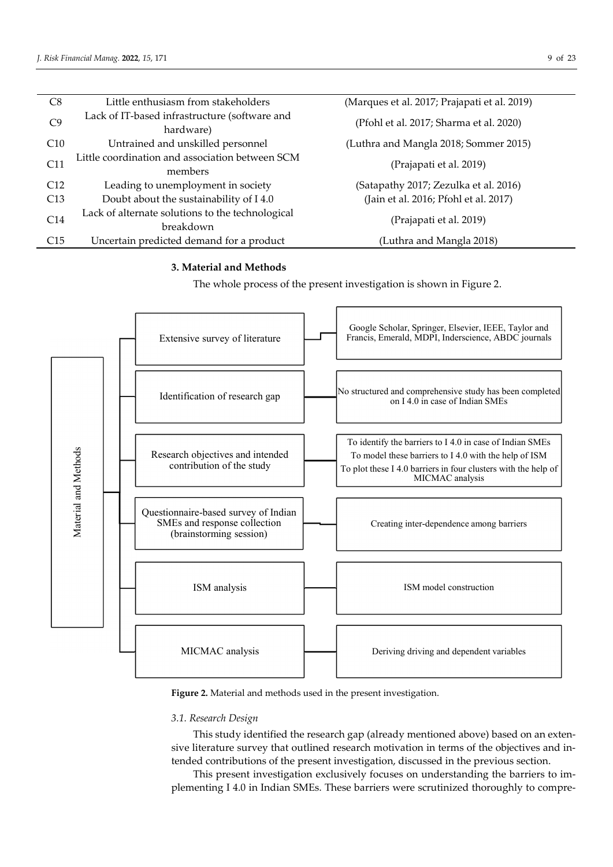| C8  | Little enthusiasm from stakeholders                           | (Marques et al. 2017; Prajapati et al. 2019) |
|-----|---------------------------------------------------------------|----------------------------------------------|
| C9  | Lack of IT-based infrastructure (software and<br>hardware)    | (Pfohl et al. 2017; Sharma et al. 2020)      |
| C10 | Untrained and unskilled personnel                             | (Luthra and Mangla 2018; Sommer 2015)        |
| C11 | Little coordination and association between SCM<br>members    | (Prajapati et al. 2019)                      |
| C12 | Leading to unemployment in society                            | (Satapathy 2017; Zezulka et al. 2016)        |
| C13 | Doubt about the sustainability of I4.0                        | (Jain et al. 2016; Pfohl et al. 2017)        |
| C14 | Lack of alternate solutions to the technological<br>breakdown | (Prajapati et al. 2019)                      |
| C15 | Uncertain predicted demand for a product                      | (Luthra and Mangla 2018)                     |

# **3. Material and Methods**

The whole process of the present investigation is shown in Figure 2.



**Figure 2.** Material and methods used in the present investigation.

# *3.1. Research Design*

This study identified the research gap (already mentioned above) based on an extensive literature survey that outlined research motivation in terms of the objectives and intended contributions of the present investigation, discussed in the previous section.

This present investigation exclusively focuses on understanding the barriers to implementing I 4.0 in Indian SMEs. These barriers were scrutinized thoroughly to compre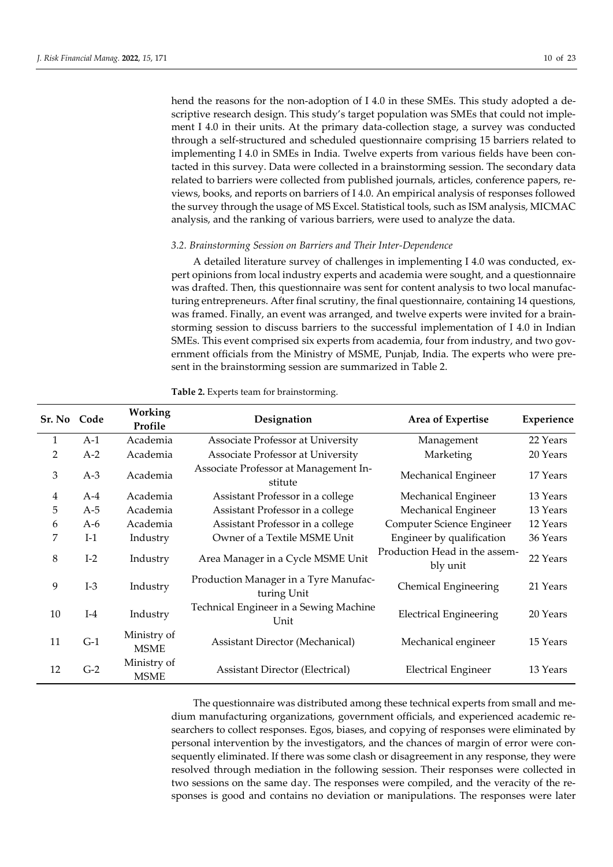hend the reasons for the non-adoption of I 4.0 in these SMEs. This study adopted a descriptive research design. This study's target population was SMEs that could not implement I 4.0 in their units. At the primary data-collection stage, a survey was conducted through a self-structured and scheduled questionnaire comprising 15 barriers related to implementing I 4.0 in SMEs in India. Twelve experts from various fields have been contacted in this survey. Data were collected in a brainstorming session. The secondary data related to barriers were collected from published journals, articles, conference papers, reviews, books, and reports on barriers of I 4.0. An empirical analysis of responses followed the survey through the usage of MS Excel. Statistical tools, such as ISM analysis, MICMAC analysis, and the ranking of various barriers, were used to analyze the data.

## *3.2. Brainstorming Session on Barriers and Their Inter-Dependence*

A detailed literature survey of challenges in implementing I 4.0 was conducted, expert opinions from local industry experts and academia were sought, and a questionnaire was drafted. Then, this questionnaire was sent for content analysis to two local manufacturing entrepreneurs. After final scrutiny, the final questionnaire, containing 14 questions, was framed. Finally, an event was arranged, and twelve experts were invited for a brainstorming session to discuss barriers to the successful implementation of I 4.0 in Indian SMEs. This event comprised six experts from academia, four from industry, and two government officials from the Ministry of MSME, Punjab, India. The experts who were present in the brainstorming session are summarized in Table 2.

| Sr. No Code |       | Working<br>Profile         | Designation                                          | Area of Expertise                         | Experience |
|-------------|-------|----------------------------|------------------------------------------------------|-------------------------------------------|------------|
| 1           | $A-1$ | Academia                   | Associate Professor at University                    | Management                                | 22 Years   |
| 2           | $A-2$ | Academia                   | Associate Professor at University                    | Marketing                                 | 20 Years   |
| 3           | $A-3$ | Academia                   | Associate Professor at Management In-<br>stitute     | Mechanical Engineer                       | 17 Years   |
| 4           | $A-4$ | Academia                   | Assistant Professor in a college                     | Mechanical Engineer                       | 13 Years   |
| 5           | $A-5$ | Academia                   | Assistant Professor in a college                     | Mechanical Engineer                       | 13 Years   |
| 6           | A-6   | Academia                   | Assistant Professor in a college                     | Computer Science Engineer                 | 12 Years   |
| 7           | $I-1$ | Industry                   | Owner of a Textile MSME Unit                         | Engineer by qualification                 | 36 Years   |
| 8           | $I-2$ | Industry                   | Area Manager in a Cycle MSME Unit                    | Production Head in the assem-<br>bly unit | 22 Years   |
| 9           | $I-3$ | Industry                   | Production Manager in a Tyre Manufac-<br>turing Unit | Chemical Engineering                      | 21 Years   |
| 10          | $I-4$ | Industry                   | Technical Engineer in a Sewing Machine<br>Unit       | <b>Electrical Engineering</b>             | 20 Years   |
| 11          | $G-1$ | Ministry of<br><b>MSME</b> | <b>Assistant Director (Mechanical)</b>               | Mechanical engineer                       | 15 Years   |
| 12          | $G-2$ | Ministry of<br><b>MSME</b> | <b>Assistant Director (Electrical)</b>               | <b>Electrical Engineer</b>                | 13 Years   |

**Table 2.** Experts team for brainstorming.

The questionnaire was distributed among these technical experts from small and medium manufacturing organizations, government officials, and experienced academic researchers to collect responses. Egos, biases, and copying of responses were eliminated by personal intervention by the investigators, and the chances of margin of error were consequently eliminated. If there was some clash or disagreement in any response, they were resolved through mediation in the following session. Their responses were collected in two sessions on the same day. The responses were compiled, and the veracity of the responses is good and contains no deviation or manipulations. The responses were later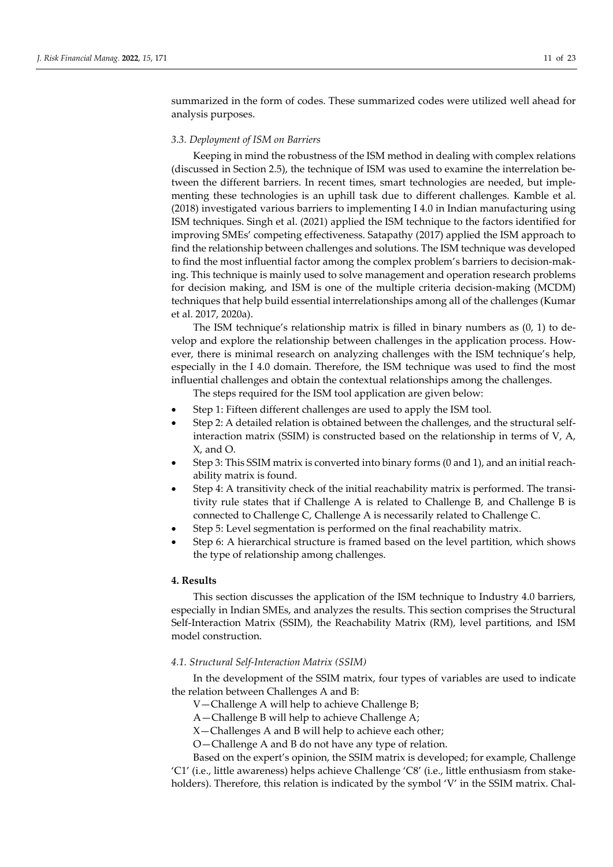summarized in the form of codes. These summarized codes were utilized well ahead for analysis purposes.

## *3.3. Deployment of ISM on Barriers*

Keeping in mind the robustness of the ISM method in dealing with complex relations (discussed in Section 2.5), the technique of ISM was used to examine the interrelation between the different barriers. In recent times, smart technologies are needed, but implementing these technologies is an uphill task due to different challenges. Kamble et al. (2018) investigated various barriers to implementing I 4.0 in Indian manufacturing using ISM techniques. Singh et al. (2021) applied the ISM technique to the factors identified for improving SMEs' competing effectiveness. Satapathy (2017) applied the ISM approach to find the relationship between challenges and solutions. The ISM technique was developed to find the most influential factor among the complex problem's barriers to decision-making. This technique is mainly used to solve management and operation research problems for decision making, and ISM is one of the multiple criteria decision-making (MCDM) techniques that help build essential interrelationships among all of the challenges (Kumar et al. 2017, 2020a).

The ISM technique's relationship matrix is filled in binary numbers as (0, 1) to develop and explore the relationship between challenges in the application process. However, there is minimal research on analyzing challenges with the ISM technique's help, especially in the I 4.0 domain. Therefore, the ISM technique was used to find the most influential challenges and obtain the contextual relationships among the challenges.

The steps required for the ISM tool application are given below:

- Step 1: Fifteen different challenges are used to apply the ISM tool.
- Step 2: A detailed relation is obtained between the challenges, and the structural selfinteraction matrix (SSIM) is constructed based on the relationship in terms of V, A, X, and O.
- Step 3: This SSIM matrix is converted into binary forms (0 and 1), and an initial reachability matrix is found.
- Step 4: A transitivity check of the initial reachability matrix is performed. The transitivity rule states that if Challenge A is related to Challenge B, and Challenge B is connected to Challenge C, Challenge A is necessarily related to Challenge C.
- Step 5: Level segmentation is performed on the final reachability matrix.
- Step 6: A hierarchical structure is framed based on the level partition, which shows the type of relationship among challenges.

## **4. Results**

This section discusses the application of the ISM technique to Industry 4.0 barriers, especially in Indian SMEs, and analyzes the results. This section comprises the Structural Self-Interaction Matrix (SSIM), the Reachability Matrix (RM), level partitions, and ISM model construction.

## *4.1. Structural Self-Interaction Matrix (SSIM)*

In the development of the SSIM matrix, four types of variables are used to indicate the relation between Challenges A and B:

V—Challenge A will help to achieve Challenge B;

A—Challenge B will help to achieve Challenge A;

X—Challenges A and B will help to achieve each other;

O—Challenge A and B do not have any type of relation.

Based on the expert's opinion, the SSIM matrix is developed; for example, Challenge 'C1' (i.e., little awareness) helps achieve Challenge 'C8' (i.e., little enthusiasm from stakeholders). Therefore, this relation is indicated by the symbol 'V' in the SSIM matrix. Chal-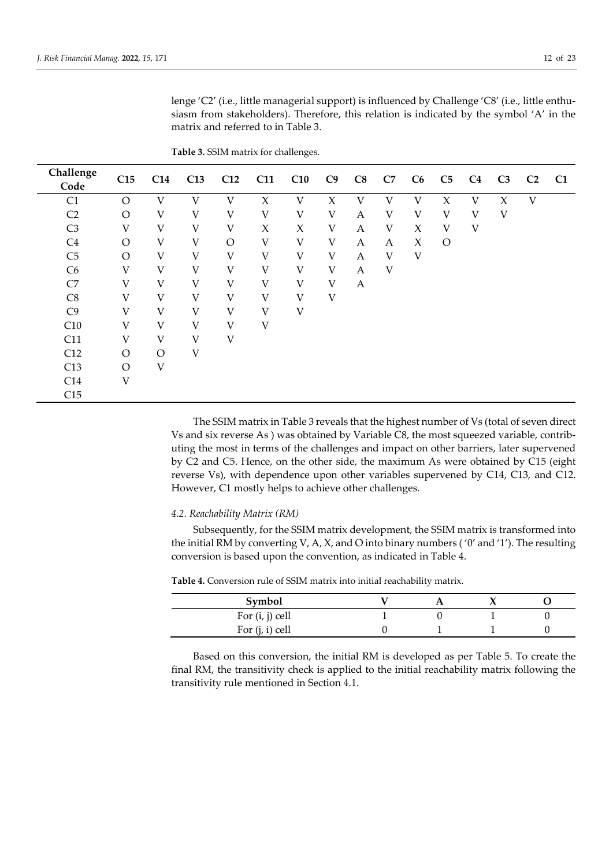| Challenge<br>Code | C15      | C14          | C13 | C12         | C11 | C10 | C9           | C8               | C7 | C6 | C5      | C <sub>4</sub> | C <sub>3</sub> | C <sub>2</sub> | C1 |
|-------------------|----------|--------------|-----|-------------|-----|-----|--------------|------------------|----|----|---------|----------------|----------------|----------------|----|
| C1                | $\Omega$ | V            | V   | V           | X   | V   | X            | V                | V  | V  | X       | V              | X              | V              |    |
| C <sub>2</sub>    | $\Omega$ | V            | V   | V           | V   | V   | V            | A                | V  | V  | V       | V              | V              |                |    |
| C <sub>3</sub>    | V        | V            | V   | V           | X   | X   | V            | A                | V  | X  | V       | V              |                |                |    |
| C <sub>4</sub>    | $\Omega$ | V            | V   | $\circ$     | V   | V   | $\mathbf{V}$ | A                | A  | X  | $\circ$ |                |                |                |    |
| C <sub>5</sub>    | $\Omega$ | V            | V   | V           | V   | V   | V            | A                | V  | V  |         |                |                |                |    |
| C <sub>6</sub>    | V        | V            | V   | V           | V   | V   | V            | A                | V  |    |         |                |                |                |    |
| C7                | V        | V            | V   | V           | V   | V   | V            | $\boldsymbol{A}$ |    |    |         |                |                |                |    |
| C8                | V        | V            | V   | V           | V   | V   | V            |                  |    |    |         |                |                |                |    |
| C9                | V        | $\mathbf{V}$ | V   | V           | V   | V   |              |                  |    |    |         |                |                |                |    |
| C10               | V        | $\mathbf{V}$ | V   | $\mathbf V$ | V   |     |              |                  |    |    |         |                |                |                |    |
| C11               | V        | V            | V   | V           |     |     |              |                  |    |    |         |                |                |                |    |
| C12               | $\Omega$ | $\Omega$     | V   |             |     |     |              |                  |    |    |         |                |                |                |    |
| C13               | $\Omega$ | V            |     |             |     |     |              |                  |    |    |         |                |                |                |    |
| C14               | V        |              |     |             |     |     |              |                  |    |    |         |                |                |                |    |
| C15               |          |              |     |             |     |     |              |                  |    |    |         |                |                |                |    |

**Table 3.** SSIM matrix for challenges.

matrix and referred to in Table 3.

The SSIM matrix in Table 3 reveals that the highest number of Vs (total of seven direct Vs and six reverse As ) was obtained by Variable C8, the most squeezed variable, contributing the most in terms of the challenges and impact on other barriers, later supervened by C2 and C5. Hence, on the other side, the maximum As were obtained by C15 (eight reverse Vs), with dependence upon other variables supervened by C14, C13, and C12. However, C1 mostly helps to achieve other challenges.

lenge 'C2' (i.e., little managerial support) is influenced by Challenge 'C8' (i.e., little enthusiasm from stakeholders). Therefore, this relation is indicated by the symbol 'A' in the

## *4.2. Reachability Matrix (RM)*

Subsequently, for the SSIM matrix development, the SSIM matrix is transformed into the initial RM by converting V, A, X, and O into binary numbers ( $'0'$  and  $'1'$ ). The resulting conversion is based upon the convention, as indicated in Table 4.

| Symbol            |  |  |
|-------------------|--|--|
| For $(i, j)$ cell |  |  |
| For $(j, i)$ cell |  |  |

**Table 4.** Conversion rule of SSIM matrix into initial reachability matrix.

Based on this conversion, the initial RM is developed as per Table 5. To create the final RM, the transitivity check is applied to the initial reachability matrix following the transitivity rule mentioned in Section 4.1.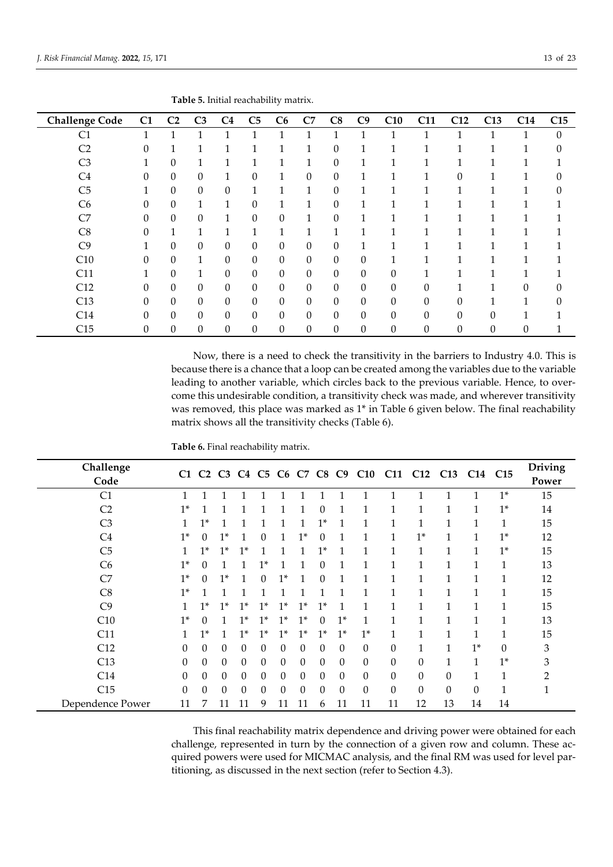| <b>Challenge Code</b> | C1 | C <sub>2</sub>   | C <sub>3</sub>   | C <sub>4</sub>   | C <sub>5</sub>   | C6               | C7               | C8               | C9             | C10              | C11              | C12          | C13      | C14 | C15      |
|-----------------------|----|------------------|------------------|------------------|------------------|------------------|------------------|------------------|----------------|------------------|------------------|--------------|----------|-----|----------|
| C1                    |    |                  | 1                | 1                | 1                | 1                | 1                | 1                |                | 1                |                  | 1            |          |     | $\theta$ |
| C <sub>2</sub>        | 0  |                  | $\mathbf{1}$     | 1                | 1                | 1                | $\mathbf{1}$     | 0                | 1              | 1                |                  | 1            |          |     | 0        |
| C <sub>3</sub>        |    | $\boldsymbol{0}$ | 1                | 1                | 1                | 1                | 1                | 0                | T              | 1                |                  | 1            |          |     |          |
| C <sub>4</sub>        | 0  | $\overline{0}$   | $\mathbf{0}$     | $\mathbf{1}$     | $\theta$         | 1                | $\boldsymbol{0}$ | 0                | 1              | 1                |                  | $\theta$     |          |     | 0        |
| C <sub>5</sub>        |    | $\mathbf{0}$     | $\mathbf{0}$     | $\theta$         | 1                | 1                | 1                | $\theta$         | 1              | $\mathbf{1}$     |                  | 1            |          |     | 0        |
| C <sub>6</sub>        | 0  | $\theta$         | $\mathbf{1}$     | $\mathbf{1}$     | $\theta$         | 1                | $\mathbf{1}$     | 0                | 11             | 1                |                  | 1            |          |     |          |
| C7                    | 0  | $\boldsymbol{0}$ | $\boldsymbol{0}$ | $\mathbf{1}$     | $\boldsymbol{0}$ | 0                | 1                | 0                |                | 1                |                  |              |          |     |          |
| C8                    | 0  | 1                | $\mathbf{1}$     | 1                | 1                | 1                | 1                | $\mathbf{1}$     |                |                  |                  | 1            |          |     |          |
| C9                    |    | $\boldsymbol{0}$ | $\mathbf{0}$     | $\boldsymbol{0}$ | $\mathbf{0}$     | $\theta$         | $\theta$         | 0                | $\mathbf{1}$   | 1                |                  | 1            |          |     |          |
| C10                   | 0  | $\boldsymbol{0}$ | $\mathbf{1}$     | $\boldsymbol{0}$ | $\boldsymbol{0}$ | $\boldsymbol{0}$ | $\boldsymbol{0}$ | $\boldsymbol{0}$ | $\overline{0}$ |                  |                  |              |          |     |          |
| C11                   |    | $\overline{0}$   | 1                | $\boldsymbol{0}$ | $\boldsymbol{0}$ | 0                | $\boldsymbol{0}$ | 0                | $\theta$       | $\boldsymbol{0}$ |                  |              |          |     |          |
| C12                   | 0  | $\overline{0}$   | $\mathbf{0}$     | $\theta$         | $\theta$         | $\theta$         | $\mathbf{0}$     | 0                | $\theta$       | $\theta$         | $\theta$         | $\mathbf{1}$ | 1        | 0   | 0        |
| C13                   | 0  | $\boldsymbol{0}$ | $\mathbf{0}$     | $\theta$         | $\theta$         | $\theta$         | $\theta$         | 0                | $\theta$       | $\boldsymbol{0}$ | $\theta$         | $\theta$     |          |     | 0        |
| C14                   | 0  | $\mathbf{0}$     | $\boldsymbol{0}$ | $\boldsymbol{0}$ | $\theta$         | 0                | $\boldsymbol{0}$ | 0                | $\overline{0}$ | $\theta$         | 0                | $\theta$     | $\Omega$ |     |          |
| C15                   | 0  | $\theta$         | $\boldsymbol{0}$ | $\boldsymbol{0}$ | $\theta$         | $\theta$         | $\theta$         | 0                | $\overline{0}$ | $\boldsymbol{0}$ | $\boldsymbol{0}$ | $\theta$     | $\theta$ | 0   |          |

**Table 5.** Initial reachability matrix.

Now, there is a need to check the transitivity in the barriers to Industry 4.0. This is because there is a chance that a loop can be created among the variables due to the variable leading to another variable, which circles back to the previous variable. Hence, to overcome this undesirable condition, a transitivity check was made, and wherever transitivity was removed, this place was marked as 1\* in Table 6 given below. The final reachability matrix shows all the transitivity checks (Table 6).

**Table 6.** Final reachability matrix.

| Challenge<br>Code |              |          |              |          |          |          |          |          |          |              |          | C1 C2 C3 C4 C5 C6 C7 C8 C9 C10 C11 C12 |              | C13 C14 C15 |      | <b>Driving</b><br>Power |
|-------------------|--------------|----------|--------------|----------|----------|----------|----------|----------|----------|--------------|----------|----------------------------------------|--------------|-------------|------|-------------------------|
| C <sub>1</sub>    | 1            |          |              |          |          |          |          |          |          |              |          |                                        |              |             | $1*$ | 15                      |
| C <sub>2</sub>    | $1*$         |          |              |          |          |          |          | $\Omega$ |          |              | 1        |                                        | 1            | 1           | $1*$ | 14                      |
| C <sub>3</sub>    | 1            | $1*$     |              |          |          |          |          | $1*$     |          |              |          |                                        |              |             |      | 15                      |
| C <sub>4</sub>    | $1*$         | $\Omega$ | $1*$         |          | 0        |          | $1*$     | $\Omega$ |          | 1            | 1        | $1*$                                   | 1            | 1           | $1*$ | 12                      |
| C <sub>5</sub>    |              | $1*$     | $1*$         | $1*$     |          |          |          | $1^*$    |          | 1            | 1        | 1                                      |              | 1           | $1*$ | 15                      |
| C <sub>6</sub>    | $1*$         | $\Omega$ |              |          | $1*$     |          |          | $\Omega$ |          |              | 1        |                                        |              |             | 1    | 13                      |
| C7                | $1*$         | $\Omega$ | $1*$         | 1        | 0        | $1*$     | 1        | $\theta$ |          | 1            | 1        | 1                                      |              |             | 1    | 12                      |
| C8                | $1*$         |          |              |          | 1        |          |          |          | 1        | 1            | 1        | 1                                      | $\mathbf{1}$ | 1           | 1    | 15                      |
| C9                | $\mathbf{1}$ | $1*$     | $1*$         | $1*$     | $1*$     | $1*$     | $1*$     | $1*$     | 1        | 1            | 1        | 1                                      | 1            | 1           | 1    | 15                      |
| C10               | $1*$         | $\Omega$ | $\mathbf{1}$ | $1*$     | $1*$     | $1*$     | $1*$     | $\Omega$ | $1*$     | 1            | 1        | 1                                      | $\mathbf{1}$ | 1           |      | 13                      |
| C11               | $\mathbf{1}$ | $1*$     | 1            | $1*$     | $1*$     | $1*$     | $1*$     | $1*$     | $1*$     | $1*$         | 1        | $\mathbf{1}$                           | $\mathbf{1}$ | 1           |      | 15                      |
| C12               | $\Omega$     | $\Omega$ | 0            | $\Omega$ | $\theta$ | $\Omega$ | $\Omega$ | $\Omega$ | $\theta$ | $\Omega$     | $\theta$ | $\mathbf{1}$                           | 1            | $1*$        | 0    | 3                       |
| C13               | $\Omega$     | $\Omega$ | $\theta$     | $\Omega$ | $\theta$ | $\Omega$ | $\Omega$ | $\Omega$ | $\Omega$ | $\Omega$     | $\Omega$ | $\theta$                               | $\mathbf{1}$ | 1           | $1*$ | 3                       |
| C14               | $\Omega$     | $\Omega$ | $\theta$     | $\Omega$ | $\theta$ | $\theta$ | $\Omega$ | $\theta$ | $\theta$ | $\mathbf{0}$ | $\Omega$ | $\theta$                               | $\theta$     | 1           | 1    | $\mathcal{P}$           |
| C15               | $\Omega$     | $\Omega$ | 0            | $\Omega$ | $\theta$ | $\Omega$ | $\Omega$ | $\theta$ | $\Omega$ | $\Omega$     | $\Omega$ | $\Omega$                               | $\Omega$     | $\Omega$    |      | 1                       |
| Dependence Power  | 11           |          | 11           | 11       | 9        | 11       |          | 6        | 11       | 11           | 11       | 12                                     | 13           | 14          | 14   |                         |

This final reachability matrix dependence and driving power were obtained for each challenge, represented in turn by the connection of a given row and column. These acquired powers were used for MICMAC analysis, and the final RM was used for level partitioning, as discussed in the next section (refer to Section 4.3).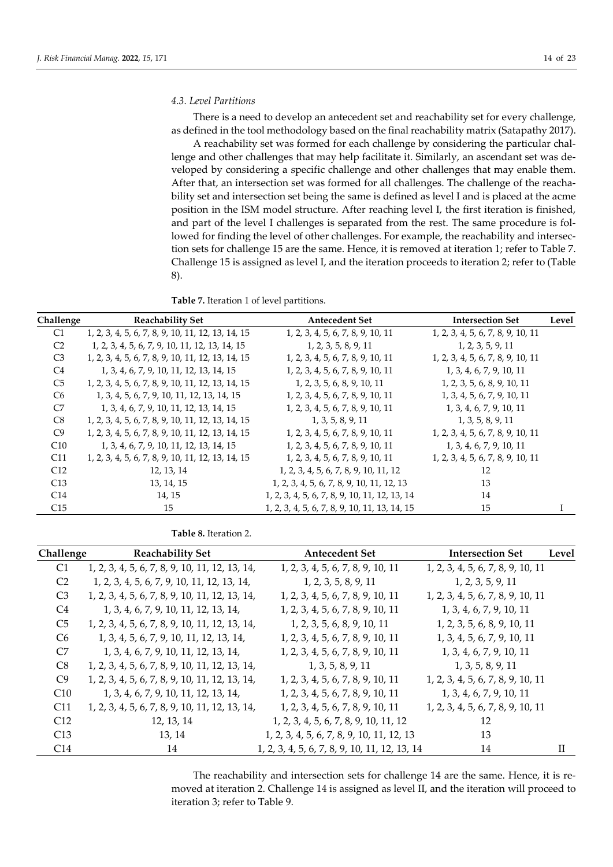#### *4.3. Level Partitions*

There is a need to develop an antecedent set and reachability set for every challenge, as defined in the tool methodology based on the final reachability matrix (Satapathy 2017).

A reachability set was formed for each challenge by considering the particular challenge and other challenges that may help facilitate it. Similarly, an ascendant set was developed by considering a specific challenge and other challenges that may enable them. After that, an intersection set was formed for all challenges. The challenge of the reachability set and intersection set being the same is defined as level I and is placed at the acme position in the ISM model structure. After reaching level I, the first iteration is finished, and part of the level I challenges is separated from the rest. The same procedure is followed for finding the level of other challenges. For example, the reachability and intersection sets for challenge 15 are the same. Hence, it is removed at iteration 1; refer to Table 7. Challenge 15 is assigned as level I, and the iteration proceeds to iteration 2; refer to (Table 8).

**Table 7.** Iteration 1 of level partitions.

| Challenge       | <b>Reachability Set</b>                           | <b>Antecedent Set</b>                         | <b>Intersection Set</b>           | Level |
|-----------------|---------------------------------------------------|-----------------------------------------------|-----------------------------------|-------|
| C <sub>1</sub>  | 1, 2, 3, 4, 5, 6, 7, 8, 9, 10, 11, 12, 13, 14, 15 | 1, 2, 3, 4, 5, 6, 7, 8, 9, 10, 11             | 1, 2, 3, 4, 5, 6, 7, 8, 9, 10, 11 |       |
| C <sub>2</sub>  | 1, 2, 3, 4, 5, 6, 7, 9, 10, 11, 12, 13, 14, 15    | 1, 2, 3, 5, 8, 9, 11                          | 1, 2, 3, 5, 9, 11                 |       |
| C <sub>3</sub>  | 1, 2, 3, 4, 5, 6, 7, 8, 9, 10, 11, 12, 13, 14, 15 | 1, 2, 3, 4, 5, 6, 7, 8, 9, 10, 11             | 1, 2, 3, 4, 5, 6, 7, 8, 9, 10, 11 |       |
| C4              | 1, 3, 4, 6, 7, 9, 10, 11, 12, 13, 14, 15          | 1, 2, 3, 4, 5, 6, 7, 8, 9, 10, 11             | 1, 3, 4, 6, 7, 9, 10, 11          |       |
| C <sub>5</sub>  | 1, 2, 3, 4, 5, 6, 7, 8, 9, 10, 11, 12, 13, 14, 15 | 1, 2, 3, 5, 6, 8, 9, 10, 11                   | 1, 2, 3, 5, 6, 8, 9, 10, 11       |       |
| C <sub>6</sub>  | 1, 3, 4, 5, 6, 7, 9, 10, 11, 12, 13, 14, 15       | 1, 2, 3, 4, 5, 6, 7, 8, 9, 10, 11             | 1, 3, 4, 5, 6, 7, 9, 10, 11       |       |
| C7              | 1, 3, 4, 6, 7, 9, 10, 11, 12, 13, 14, 15          | 1, 2, 3, 4, 5, 6, 7, 8, 9, 10, 11             | 1, 3, 4, 6, 7, 9, 10, 11          |       |
| C8              | 1, 2, 3, 4, 5, 6, 7, 8, 9, 10, 11, 12, 13, 14, 15 | 1, 3, 5, 8, 9, 11                             | 1, 3, 5, 8, 9, 11                 |       |
| C9              | 1, 2, 3, 4, 5, 6, 7, 8, 9, 10, 11, 12, 13, 14, 15 | 1, 2, 3, 4, 5, 6, 7, 8, 9, 10, 11             | 1, 2, 3, 4, 5, 6, 7, 8, 9, 10, 11 |       |
| C10             | 1, 3, 4, 6, 7, 9, 10, 11, 12, 13, 14, 15          | 1, 2, 3, 4, 5, 6, 7, 8, 9, 10, 11             | 1, 3, 4, 6, 7, 9, 10, 11          |       |
| C <sub>11</sub> | 1, 2, 3, 4, 5, 6, 7, 8, 9, 10, 11, 12, 13, 14, 15 | 1, 2, 3, 4, 5, 6, 7, 8, 9, 10, 11             | 1, 2, 3, 4, 5, 6, 7, 8, 9, 10, 11 |       |
| C12             | 12, 13, 14                                        | 1, 2, 3, 4, 5, 6, 7, 8, 9, 10, 11, 12         | 12                                |       |
| C13             | 13, 14, 15                                        | 1, 2, 3, 4, 5, 6, 7, 8, 9, 10, 11, 12, 13     | 13                                |       |
| C14             | 14, 15                                            | 1, 2, 3, 4, 5, 6, 7, 8, 9, 10, 11, 12, 13, 14 | 14                                |       |
| C15             | 15                                                | 1, 2, 3, 4, 5, 6, 7, 8, 9, 10, 11, 13, 14, 15 | 15                                |       |

**Table 8.** Iteration 2.

| Challenge      | <b>Reachability Set</b>                        | <b>Antecedent Set</b>                         | <b>Intersection Set</b>           | Level        |
|----------------|------------------------------------------------|-----------------------------------------------|-----------------------------------|--------------|
| C <sub>1</sub> | 1, 2, 3, 4, 5, 6, 7, 8, 9, 10, 11, 12, 13, 14, | 1, 2, 3, 4, 5, 6, 7, 8, 9, 10, 11             | 1, 2, 3, 4, 5, 6, 7, 8, 9, 10, 11 |              |
| C <sub>2</sub> | 1, 2, 3, 4, 5, 6, 7, 9, 10, 11, 12, 13, 14,    | 1, 2, 3, 5, 8, 9, 11                          | 1, 2, 3, 5, 9, 11                 |              |
| C <sub>3</sub> | 1, 2, 3, 4, 5, 6, 7, 8, 9, 10, 11, 12, 13, 14, | 1, 2, 3, 4, 5, 6, 7, 8, 9, 10, 11             | 1, 2, 3, 4, 5, 6, 7, 8, 9, 10, 11 |              |
| C <sub>4</sub> | 1, 3, 4, 6, 7, 9, 10, 11, 12, 13, 14,          | 1, 2, 3, 4, 5, 6, 7, 8, 9, 10, 11             | 1, 3, 4, 6, 7, 9, 10, 11          |              |
| C <sub>5</sub> | 1, 2, 3, 4, 5, 6, 7, 8, 9, 10, 11, 12, 13, 14, | 1, 2, 3, 5, 6, 8, 9, 10, 11                   | 1, 2, 3, 5, 6, 8, 9, 10, 11       |              |
| C <sub>6</sub> | 1, 3, 4, 5, 6, 7, 9, 10, 11, 12, 13, 14,       | 1, 2, 3, 4, 5, 6, 7, 8, 9, 10, 11             | 1, 3, 4, 5, 6, 7, 9, 10, 11       |              |
| C7             | 1, 3, 4, 6, 7, 9, 10, 11, 12, 13, 14,          | 1, 2, 3, 4, 5, 6, 7, 8, 9, 10, 11             | 1, 3, 4, 6, 7, 9, 10, 11          |              |
| C8             | 1, 2, 3, 4, 5, 6, 7, 8, 9, 10, 11, 12, 13, 14, | 1, 3, 5, 8, 9, 11                             | 1, 3, 5, 8, 9, 11                 |              |
| C9             | 1, 2, 3, 4, 5, 6, 7, 8, 9, 10, 11, 12, 13, 14, | 1, 2, 3, 4, 5, 6, 7, 8, 9, 10, 11             | 1, 2, 3, 4, 5, 6, 7, 8, 9, 10, 11 |              |
| C10            | 1, 3, 4, 6, 7, 9, 10, 11, 12, 13, 14,          | 1, 2, 3, 4, 5, 6, 7, 8, 9, 10, 11             | 1, 3, 4, 6, 7, 9, 10, 11          |              |
| C11            | 1, 2, 3, 4, 5, 6, 7, 8, 9, 10, 11, 12, 13, 14, | 1, 2, 3, 4, 5, 6, 7, 8, 9, 10, 11             | 1, 2, 3, 4, 5, 6, 7, 8, 9, 10, 11 |              |
| C12            | 12, 13, 14                                     | 1, 2, 3, 4, 5, 6, 7, 8, 9, 10, 11, 12         | 12                                |              |
| C13            | 13, 14                                         | 1, 2, 3, 4, 5, 6, 7, 8, 9, 10, 11, 12, 13     | 13                                |              |
| C14            | 14                                             | 1, 2, 3, 4, 5, 6, 7, 8, 9, 10, 11, 12, 13, 14 | 14                                | $\mathbf{H}$ |

The reachability and intersection sets for challenge 14 are the same. Hence, it is removed at iteration 2. Challenge 14 is assigned as level II, and the iteration will proceed to iteration 3; refer to Table 9.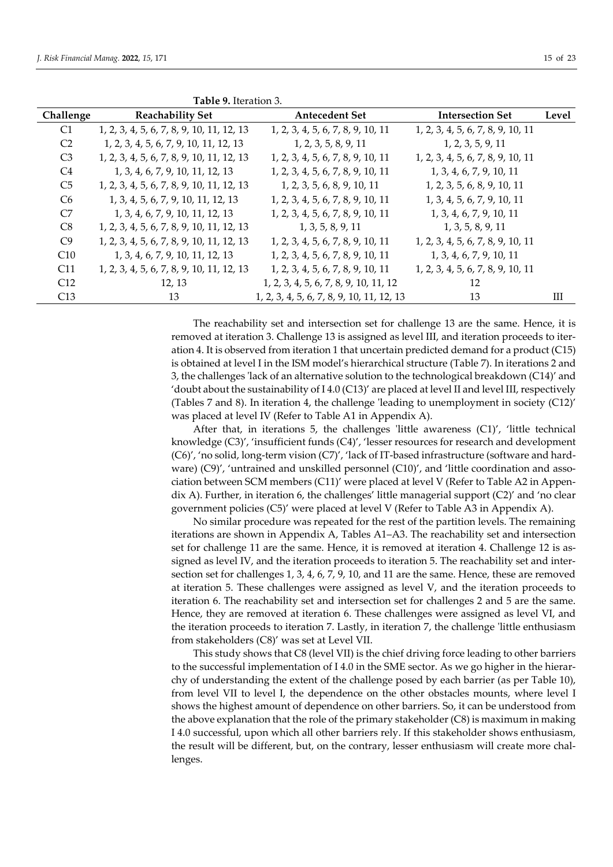|                | Table 9. Iteration 3.                     |                                           |                                   |       |
|----------------|-------------------------------------------|-------------------------------------------|-----------------------------------|-------|
| Challenge      | <b>Reachability Set</b>                   | <b>Antecedent Set</b>                     | <b>Intersection Set</b>           | Level |
| C <sub>1</sub> | 1, 2, 3, 4, 5, 6, 7, 8, 9, 10, 11, 12, 13 | 1, 2, 3, 4, 5, 6, 7, 8, 9, 10, 11         | 1, 2, 3, 4, 5, 6, 7, 8, 9, 10, 11 |       |
| C <sub>2</sub> | 1, 2, 3, 4, 5, 6, 7, 9, 10, 11, 12, 13    | 1, 2, 3, 5, 8, 9, 11                      | 1, 2, 3, 5, 9, 11                 |       |
| C <sub>3</sub> | 1, 2, 3, 4, 5, 6, 7, 8, 9, 10, 11, 12, 13 | 1, 2, 3, 4, 5, 6, 7, 8, 9, 10, 11         | 1, 2, 3, 4, 5, 6, 7, 8, 9, 10, 11 |       |
| C4             | 1, 3, 4, 6, 7, 9, 10, 11, 12, 13          | 1, 2, 3, 4, 5, 6, 7, 8, 9, 10, 11         | 1, 3, 4, 6, 7, 9, 10, 11          |       |
| C <sub>5</sub> | 1, 2, 3, 4, 5, 6, 7, 8, 9, 10, 11, 12, 13 | 1, 2, 3, 5, 6, 8, 9, 10, 11               | 1, 2, 3, 5, 6, 8, 9, 10, 11       |       |
| C <sub>6</sub> | 1, 3, 4, 5, 6, 7, 9, 10, 11, 12, 13       | 1, 2, 3, 4, 5, 6, 7, 8, 9, 10, 11         | 1, 3, 4, 5, 6, 7, 9, 10, 11       |       |
| C7             | 1, 3, 4, 6, 7, 9, 10, 11, 12, 13          | 1, 2, 3, 4, 5, 6, 7, 8, 9, 10, 11         | 1, 3, 4, 6, 7, 9, 10, 11          |       |
| C8             | 1, 2, 3, 4, 5, 6, 7, 8, 9, 10, 11, 12, 13 | 1, 3, 5, 8, 9, 11                         | 1, 3, 5, 8, 9, 11                 |       |
| C9             | 1, 2, 3, 4, 5, 6, 7, 8, 9, 10, 11, 12, 13 | 1, 2, 3, 4, 5, 6, 7, 8, 9, 10, 11         | 1, 2, 3, 4, 5, 6, 7, 8, 9, 10, 11 |       |
| C10            | 1, 3, 4, 6, 7, 9, 10, 11, 12, 13          | 1, 2, 3, 4, 5, 6, 7, 8, 9, 10, 11         | 1, 3, 4, 6, 7, 9, 10, 11          |       |
| C11            | 1, 2, 3, 4, 5, 6, 7, 8, 9, 10, 11, 12, 13 | 1, 2, 3, 4, 5, 6, 7, 8, 9, 10, 11         | 1, 2, 3, 4, 5, 6, 7, 8, 9, 10, 11 |       |
| C12            | 12, 13                                    | 1, 2, 3, 4, 5, 6, 7, 8, 9, 10, 11, 12     | 12                                |       |
| C13            | 13                                        | 1, 2, 3, 4, 5, 6, 7, 8, 9, 10, 11, 12, 13 | 13                                | Ш     |

The reachability set and intersection set for challenge 13 are the same. Hence, it is removed at iteration 3. Challenge 13 is assigned as level III, and iteration proceeds to iteration 4. It is observed from iteration 1 that uncertain predicted demand for a product (C15) is obtained at level I in the ISM model's hierarchical structure (Table 7). In iterations 2 and 3, the challenges 'lack of an alternative solution to the technological breakdown (C14)' and 'doubt about the sustainability of I 4.0 (C13)' are placed at level II and level III, respectively (Tables 7 and 8). In iteration 4, the challenge 'leading to unemployment in society (C12)' was placed at level IV (Refer to Table A1 in Appendix A).

After that, in iterations 5, the challenges 'little awareness  $(C1)'$ , 'little technical knowledge (C3)', 'insufficient funds (C4)', 'lesser resources for research and development (C6)', 'no solid, long-term vision (C7)', 'lack of IT-based infrastructure (software and hardware) (C9)', 'untrained and unskilled personnel (C10)', and 'little coordination and association between SCM members (C11)' were placed at level V (Refer to Table A2 in Appendix A). Further, in iteration 6, the challenges' little managerial support (C2)' and 'no clear government policies (C5)' were placed at level V (Refer to Table A3 in Appendix A).

No similar procedure was repeated for the rest of the partition levels. The remaining iterations are shown in Appendix A, Tables A1–A3. The reachability set and intersection set for challenge 11 are the same. Hence, it is removed at iteration 4. Challenge 12 is assigned as level IV, and the iteration proceeds to iteration 5. The reachability set and intersection set for challenges 1, 3, 4, 6, 7, 9, 10, and 11 are the same. Hence, these are removed at iteration 5. These challenges were assigned as level V, and the iteration proceeds to iteration 6. The reachability set and intersection set for challenges 2 and 5 are the same. Hence, they are removed at iteration 6. These challenges were assigned as level VI, and the iteration proceeds to iteration 7. Lastly, in iteration 7, the challenge 'little enthusiasm from stakeholders (C8)' was set at Level VII.

This study shows that C8 (level VII) is the chief driving force leading to other barriers to the successful implementation of I 4.0 in the SME sector. As we go higher in the hierarchy of understanding the extent of the challenge posed by each barrier (as per Table 10), from level VII to level I, the dependence on the other obstacles mounts, where level I shows the highest amount of dependence on other barriers. So, it can be understood from the above explanation that the role of the primary stakeholder (C8) is maximum in making I 4.0 successful, upon which all other barriers rely. If this stakeholder shows enthusiasm, the result will be different, but, on the contrary, lesser enthusiasm will create more challenges.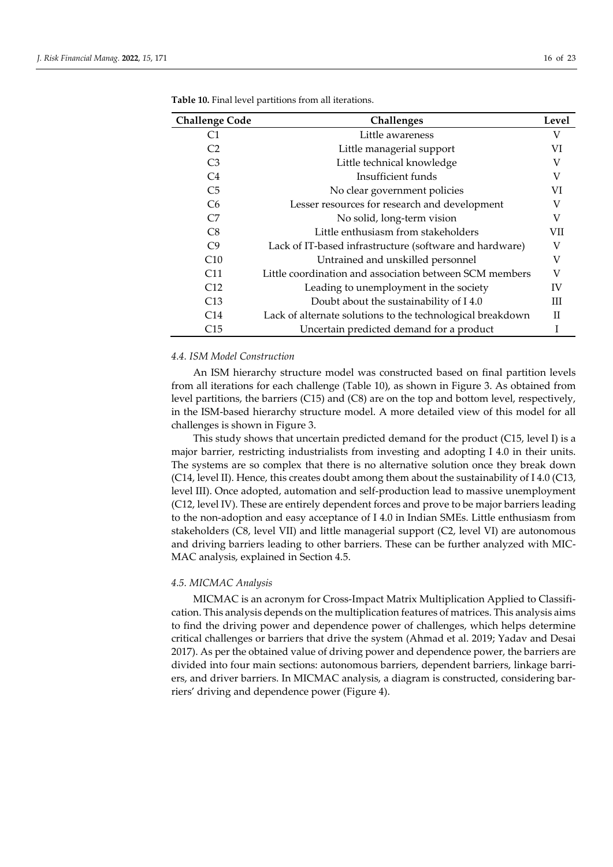| <b>Challenge Code</b> | Challenges                                                 | Level       |
|-----------------------|------------------------------------------------------------|-------------|
| C1                    | Little awareness                                           | V           |
| C <sub>2</sub>        | Little managerial support                                  | VI          |
| C <sub>3</sub>        | Little technical knowledge                                 | V           |
| C <sub>4</sub>        | Insufficient funds                                         | V           |
| C <sub>5</sub>        | No clear government policies                               | VI          |
| C <sub>6</sub>        | Lesser resources for research and development              | V           |
| C7                    | No solid, long-term vision                                 | V           |
| C8                    | Little enthusiasm from stakeholders                        | VII         |
| C9                    | Lack of IT-based infrastructure (software and hardware)    | V           |
| C10                   | Untrained and unskilled personnel                          | V           |
| C11                   | Little coordination and association between SCM members    | V           |
| C12                   | Leading to unemployment in the society                     | IV          |
| C13                   | Doubt about the sustainability of I4.0                     | Ш           |
| C14                   | Lack of alternate solutions to the technological breakdown | $_{\rm II}$ |
| C15                   | Uncertain predicted demand for a product                   |             |

**Table 10.** Final level partitions from all iterations.

# *4.4. ISM Model Construction*

An ISM hierarchy structure model was constructed based on final partition levels from all iterations for each challenge (Table 10), as shown in Figure 3. As obtained from level partitions, the barriers (C15) and (C8) are on the top and bottom level, respectively, in the ISM-based hierarchy structure model. A more detailed view of this model for all challenges is shown in Figure 3.

This study shows that uncertain predicted demand for the product (C15, level I) is a major barrier, restricting industrialists from investing and adopting I 4.0 in their units. The systems are so complex that there is no alternative solution once they break down (C14, level II). Hence, this creates doubt among them about the sustainability of I 4.0 (C13, level III). Once adopted, automation and self-production lead to massive unemployment (C12, level IV). These are entirely dependent forces and prove to be major barriers leading to the non-adoption and easy acceptance of I 4.0 in Indian SMEs. Little enthusiasm from stakeholders (C8, level VII) and little managerial support (C2, level VI) are autonomous and driving barriers leading to other barriers. These can be further analyzed with MIC-MAC analysis, explained in Section 4.5.

#### *4.5. MICMAC Analysis*

MICMAC is an acronym for Cross-Impact Matrix Multiplication Applied to Classification. This analysis depends on the multiplication features of matrices. This analysis aims to find the driving power and dependence power of challenges, which helps determine critical challenges or barriers that drive the system (Ahmad et al. 2019; Yadav and Desai 2017). As per the obtained value of driving power and dependence power, the barriers are divided into four main sections: autonomous barriers, dependent barriers, linkage barriers, and driver barriers. In MICMAC analysis, a diagram is constructed, considering barriers' driving and dependence power (Figure 4).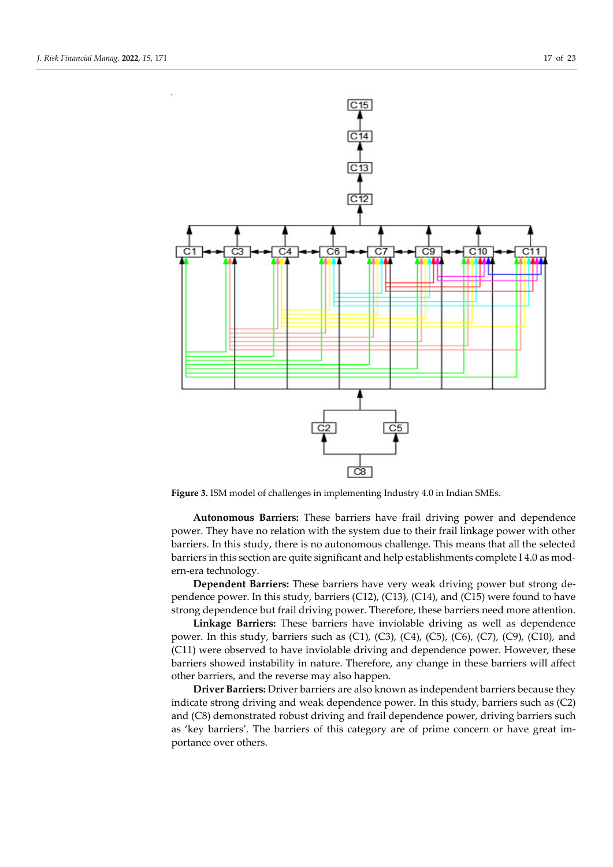

**Figure 3.** ISM model of challenges in implementing Industry 4.0 in Indian SMEs.

**Autonomous Barriers:** These barriers have frail driving power and dependence power. They have no relation with the system due to their frail linkage power with other barriers. In this study, there is no autonomous challenge. This means that all the selected barriers in this section are quite significant and help establishments complete I 4.0 as modern-era technology.

**Dependent Barriers:** These barriers have very weak driving power but strong dependence power. In this study, barriers  $(C12)$ ,  $(C13)$ ,  $(C14)$ , and  $(C15)$  were found to have strong dependence but frail driving power. Therefore, these barriers need more attention.

**Linkage Barriers:** These barriers have inviolable driving as well as dependence power. In this study, barriers such as  $(C1)$ ,  $(C3)$ ,  $(C4)$ ,  $(C5)$ ,  $(C6)$ ,  $(C7)$ ,  $(C9)$ ,  $(C10)$ , and (C11) were observed to have inviolable driving and dependence power. However, these barriers showed instability in nature. Therefore, any change in these barriers will affect other barriers, and the reverse may also happen.

**Driver Barriers:** Driver barriers are also known as independent barriers because they indicate strong driving and weak dependence power. In this study, barriers such as (C2) and (C8) demonstrated robust driving and frail dependence power, driving barriers such as 'key barriers'. The barriers of this category are of prime concern or have great importance over others.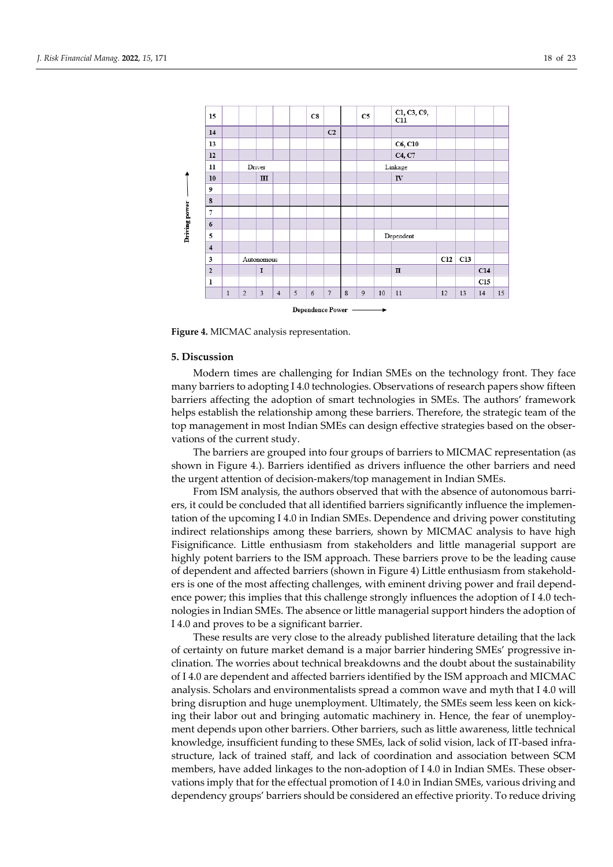

**Figure 4.** MICMAC analysis representation.

# **5. Discussion**

Modern times are challenging for Indian SMEs on the technology front. They face many barriers to adopting I 4.0 technologies. Observations of research papers show fifteen barriers affecting the adoption of smart technologies in SMEs. The authors' framework helps establish the relationship among these barriers. Therefore, the strategic team of the top management in most Indian SMEs can design effective strategies based on the observations of the current study.

The barriers are grouped into four groups of barriers to MICMAC representation (as shown in Figure 4.). Barriers identified as drivers influence the other barriers and need the urgent attention of decision-makers/top management in Indian SMEs.

From ISM analysis, the authors observed that with the absence of autonomous barriers, it could be concluded that all identified barriers significantly influence the implementation of the upcoming I 4.0 in Indian SMEs. Dependence and driving power constituting indirect relationships among these barriers, shown by MICMAC analysis to have high Fisignificance. Little enthusiasm from stakeholders and little managerial support are highly potent barriers to the ISM approach. These barriers prove to be the leading cause of dependent and affected barriers (shown in Figure 4) Little enthusiasm from stakeholders is one of the most affecting challenges, with eminent driving power and frail dependence power; this implies that this challenge strongly influences the adoption of I 4.0 technologies in Indian SMEs. The absence or little managerial support hinders the adoption of I 4.0 and proves to be a significant barrier.

These results are very close to the already published literature detailing that the lack of certainty on future market demand is a major barrier hindering SMEs' progressive inclination. The worries about technical breakdowns and the doubt about the sustainability of I 4.0 are dependent and affected barriers identified by the ISM approach and MICMAC analysis. Scholars and environmentalists spread a common wave and myth that I 4.0 will bring disruption and huge unemployment. Ultimately, the SMEs seem less keen on kicking their labor out and bringing automatic machinery in. Hence, the fear of unemployment depends upon other barriers. Other barriers, such as little awareness, little technical knowledge, insufficient funding to these SMEs, lack of solid vision, lack of IT-based infrastructure, lack of trained staff, and lack of coordination and association between SCM members, have added linkages to the non-adoption of I 4.0 in Indian SMEs. These observations imply that for the effectual promotion of I 4.0 in Indian SMEs, various driving and dependency groups' barriers should be considered an effective priority. To reduce driving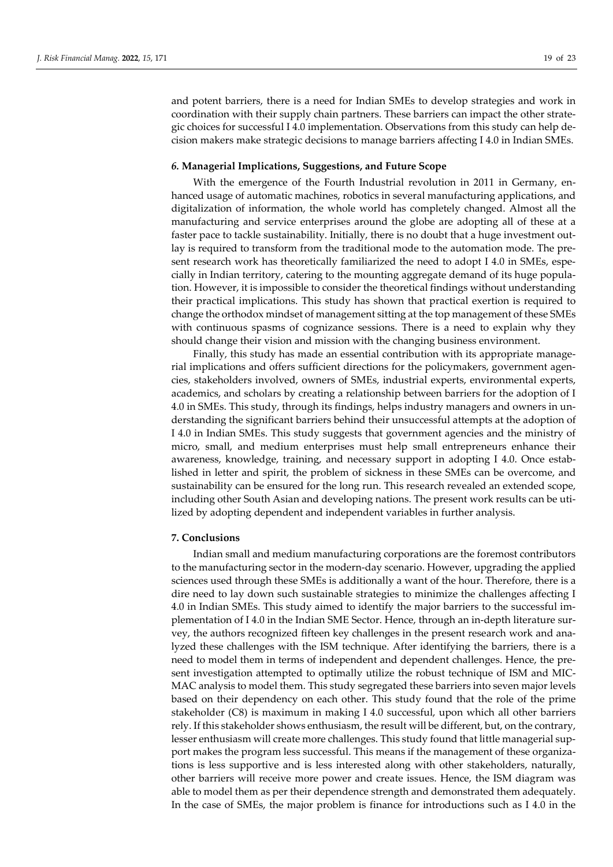and potent barriers, there is a need for Indian SMEs to develop strategies and work in coordination with their supply chain partners. These barriers can impact the other strategic choices for successful I 4.0 implementation. Observations from this study can help decision makers make strategic decisions to manage barriers affecting I 4.0 in Indian SMEs.

# *6.* **Managerial Implications, Suggestions, and Future Scope**

With the emergence of the Fourth Industrial revolution in 2011 in Germany, enhanced usage of automatic machines, robotics in several manufacturing applications, and digitalization of information, the whole world has completely changed. Almost all the manufacturing and service enterprises around the globe are adopting all of these at a faster pace to tackle sustainability. Initially, there is no doubt that a huge investment outlay is required to transform from the traditional mode to the automation mode. The present research work has theoretically familiarized the need to adopt I 4.0 in SMEs, especially in Indian territory, catering to the mounting aggregate demand of its huge population. However, it is impossible to consider the theoretical findings without understanding their practical implications. This study has shown that practical exertion is required to change the orthodox mindset of management sitting at the top management of these SMEs with continuous spasms of cognizance sessions. There is a need to explain why they should change their vision and mission with the changing business environment.

Finally, this study has made an essential contribution with its appropriate managerial implications and offers sufficient directions for the policymakers, government agencies, stakeholders involved, owners of SMEs, industrial experts, environmental experts, academics, and scholars by creating a relationship between barriers for the adoption of I 4.0 in SMEs. This study, through its findings, helps industry managers and owners in understanding the significant barriers behind their unsuccessful attempts at the adoption of I 4.0 in Indian SMEs. This study suggests that government agencies and the ministry of micro, small, and medium enterprises must help small entrepreneurs enhance their awareness, knowledge, training, and necessary support in adopting I 4.0. Once established in letter and spirit, the problem of sickness in these SMEs can be overcome, and sustainability can be ensured for the long run. This research revealed an extended scope, including other South Asian and developing nations. The present work results can be utilized by adopting dependent and independent variables in further analysis.

## **7. Conclusions**

Indian small and medium manufacturing corporations are the foremost contributors to the manufacturing sector in the modern-day scenario. However, upgrading the applied sciences used through these SMEs is additionally a want of the hour. Therefore, there is a dire need to lay down such sustainable strategies to minimize the challenges affecting I 4.0 in Indian SMEs. This study aimed to identify the major barriers to the successful implementation of I 4.0 in the Indian SME Sector. Hence, through an in-depth literature survey, the authors recognized fifteen key challenges in the present research work and analyzed these challenges with the ISM technique. After identifying the barriers, there is a need to model them in terms of independent and dependent challenges. Hence, the present investigation attempted to optimally utilize the robust technique of ISM and MIC-MAC analysis to model them. This study segregated these barriers into seven major levels based on their dependency on each other. This study found that the role of the prime stakeholder (C8) is maximum in making I 4.0 successful, upon which all other barriers rely. If this stakeholder shows enthusiasm, the result will be different, but, on the contrary, lesser enthusiasm will create more challenges. This study found that little managerial support makes the program less successful. This means if the management of these organizations is less supportive and is less interested along with other stakeholders, naturally, other barriers will receive more power and create issues. Hence, the ISM diagram was able to model them as per their dependence strength and demonstrated them adequately. In the case of SMEs, the major problem is finance for introductions such as I 4.0 in the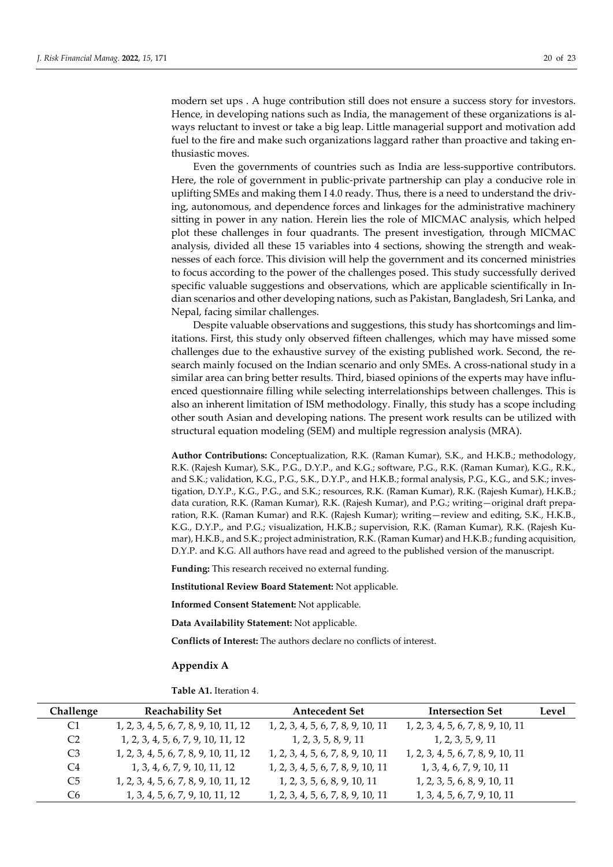modern set ups . A huge contribution still does not ensure a success story for investors. Hence, in developing nations such as India, the management of these organizations is always reluctant to invest or take a big leap. Little managerial support and motivation add fuel to the fire and make such organizations laggard rather than proactive and taking enthusiastic moves.

Even the governments of countries such as India are less-supportive contributors. Here, the role of government in public-private partnership can play a conducive role in uplifting SMEs and making them I 4.0 ready. Thus, there is a need to understand the driving, autonomous, and dependence forces and linkages for the administrative machinery sitting in power in any nation. Herein lies the role of MICMAC analysis, which helped plot these challenges in four quadrants. The present investigation, through MICMAC analysis, divided all these 15 variables into 4 sections, showing the strength and weaknesses of each force. This division will help the government and its concerned ministries to focus according to the power of the challenges posed. This study successfully derived specific valuable suggestions and observations, which are applicable scientifically in Indian scenarios and other developing nations, such as Pakistan, Bangladesh, Sri Lanka, and Nepal, facing similar challenges.

Despite valuable observations and suggestions, this study has shortcomings and limitations. First, this study only observed fifteen challenges, which may have missed some challenges due to the exhaustive survey of the existing published work. Second, the research mainly focused on the Indian scenario and only SMEs. A cross-national study in a similar area can bring better results. Third, biased opinions of the experts may have influenced questionnaire filling while selecting interrelationships between challenges. This is also an inherent limitation of ISM methodology. Finally, this study has a scope including other south Asian and developing nations. The present work results can be utilized with structural equation modeling (SEM) and multiple regression analysis (MRA).

**Author Contributions:** Conceptualization, R.K. (Raman Kumar), S.K., and H.K.B.; methodology, R.K. (Rajesh Kumar), S.K., P.G., D.Y.P., and K.G.; software, P.G., R.K. (Raman Kumar), K.G., R.K., and S.K.; validation, K.G., P.G., S.K., D.Y.P., and H.K.B.; formal analysis, P.G., K.G., and S.K.; investigation, D.Y.P., K.G., P.G., and S.K.; resources, R.K. (Raman Kumar), R.K. (Rajesh Kumar), H.K.B.; data curation, R.K. (Raman Kumar), R.K. (Rajesh Kumar), and P.G.; writing—original draft preparation, R.K. (Raman Kumar) and R.K. (Rajesh Kumar); writing—review and editing, S.K., H.K.B., K.G., D.Y.P., and P.G.; visualization, H.K.B.; supervision, R.K. (Raman Kumar), R.K. (Rajesh Kumar), H.K.B., and S.K.; project administration, R.K. (Raman Kumar) and H.K.B.; funding acquisition, D.Y.P. and K.G. All authors have read and agreed to the published version of the manuscript.

**Funding:** This research received no external funding.

**Institutional Review Board Statement:** Not applicable.

**Informed Consent Statement:** Not applicable.

**Data Availability Statement:** Not applicable.

**Conflicts of Interest:** The authors declare no conflicts of interest.

#### **Appendix A**

**Table A1.** Iteration 4.

| Challenge      | <b>Reachability Set</b>               | <b>Antecedent Set</b>             | <b>Intersection Set</b>           | Level |
|----------------|---------------------------------------|-----------------------------------|-----------------------------------|-------|
| C1             | 1, 2, 3, 4, 5, 6, 7, 8, 9, 10, 11, 12 | 1, 2, 3, 4, 5, 6, 7, 8, 9, 10, 11 | 1, 2, 3, 4, 5, 6, 7, 8, 9, 10, 11 |       |
| C <sub>2</sub> | 1, 2, 3, 4, 5, 6, 7, 9, 10, 11, 12    | 1, 2, 3, 5, 8, 9, 11              | 1, 2, 3, 5, 9, 11                 |       |
| C <sub>3</sub> | 1, 2, 3, 4, 5, 6, 7, 8, 9, 10, 11, 12 | 1, 2, 3, 4, 5, 6, 7, 8, 9, 10, 11 | 1, 2, 3, 4, 5, 6, 7, 8, 9, 10, 11 |       |
| C <sub>4</sub> | 1, 3, 4, 6, 7, 9, 10, 11, 12          | 1, 2, 3, 4, 5, 6, 7, 8, 9, 10, 11 | 1, 3, 4, 6, 7, 9, 10, 11          |       |
| C <sub>5</sub> | 1, 2, 3, 4, 5, 6, 7, 8, 9, 10, 11, 12 | 1, 2, 3, 5, 6, 8, 9, 10, 11       | 1, 2, 3, 5, 6, 8, 9, 10, 11       |       |
| C <sub>6</sub> | 1, 3, 4, 5, 6, 7, 9, 10, 11, 12       | 1, 2, 3, 4, 5, 6, 7, 8, 9, 10, 11 | 1, 3, 4, 5, 6, 7, 9, 10, 11       |       |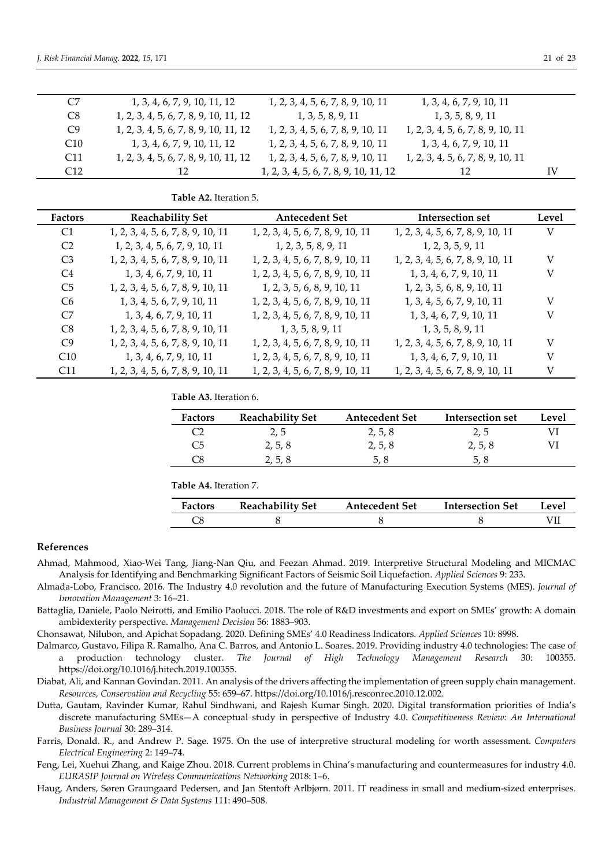| C7              | 1, 3, 4, 6, 7, 9, 10, 11, 12          | 1, 2, 3, 4, 5, 6, 7, 8, 9, 10, 11     | 1, 3, 4, 6, 7, 9, 10, 11          |    |
|-----------------|---------------------------------------|---------------------------------------|-----------------------------------|----|
| C <sub>8</sub>  | 1, 2, 3, 4, 5, 6, 7, 8, 9, 10, 11, 12 | 1, 3, 5, 8, 9, 11                     | 1, 3, 5, 8, 9, 11                 |    |
| C9              | 1, 2, 3, 4, 5, 6, 7, 8, 9, 10, 11, 12 | 1, 2, 3, 4, 5, 6, 7, 8, 9, 10, 11     | 1, 2, 3, 4, 5, 6, 7, 8, 9, 10, 11 |    |
| C10             | 1, 3, 4, 6, 7, 9, 10, 11, 12          | 1, 2, 3, 4, 5, 6, 7, 8, 9, 10, 11     | 1, 3, 4, 6, 7, 9, 10, 11          |    |
| C <sub>11</sub> | 1, 2, 3, 4, 5, 6, 7, 8, 9, 10, 11, 12 | 1, 2, 3, 4, 5, 6, 7, 8, 9, 10, 11     | 1, 2, 3, 4, 5, 6, 7, 8, 9, 10, 11 |    |
| C12             | 12                                    | 1, 2, 3, 4, 5, 6, 7, 8, 9, 10, 11, 12 | 12                                | IV |

# **Table A2.** Iteration 5.

| Factors        | <b>Reachability Set</b>           | <b>Antecedent Set</b>             | Intersection set                  | Level |
|----------------|-----------------------------------|-----------------------------------|-----------------------------------|-------|
| C1             | 1, 2, 3, 4, 5, 6, 7, 8, 9, 10, 11 | 1, 2, 3, 4, 5, 6, 7, 8, 9, 10, 11 | 1, 2, 3, 4, 5, 6, 7, 8, 9, 10, 11 | V     |
| C <sub>2</sub> | 1, 2, 3, 4, 5, 6, 7, 9, 10, 11    | 1, 2, 3, 5, 8, 9, 11              | 1, 2, 3, 5, 9, 11                 |       |
| C <sub>3</sub> | 1, 2, 3, 4, 5, 6, 7, 8, 9, 10, 11 | 1, 2, 3, 4, 5, 6, 7, 8, 9, 10, 11 | 1, 2, 3, 4, 5, 6, 7, 8, 9, 10, 11 | V     |
| C4             | 1, 3, 4, 6, 7, 9, 10, 11          | 1, 2, 3, 4, 5, 6, 7, 8, 9, 10, 11 | 1, 3, 4, 6, 7, 9, 10, 11          | V     |
| C <sub>5</sub> | 1, 2, 3, 4, 5, 6, 7, 8, 9, 10, 11 | 1, 2, 3, 5, 6, 8, 9, 10, 11       | 1, 2, 3, 5, 6, 8, 9, 10, 11       |       |
| C <sub>6</sub> | 1, 3, 4, 5, 6, 7, 9, 10, 11       | 1, 2, 3, 4, 5, 6, 7, 8, 9, 10, 11 | 1, 3, 4, 5, 6, 7, 9, 10, 11       | V     |
| C7             | 1, 3, 4, 6, 7, 9, 10, 11          | 1, 2, 3, 4, 5, 6, 7, 8, 9, 10, 11 | 1, 3, 4, 6, 7, 9, 10, 11          | V     |
| C <sub>8</sub> | 1, 2, 3, 4, 5, 6, 7, 8, 9, 10, 11 | 1, 3, 5, 8, 9, 11                 | 1, 3, 5, 8, 9, 11                 |       |
| C9             | 1, 2, 3, 4, 5, 6, 7, 8, 9, 10, 11 | 1, 2, 3, 4, 5, 6, 7, 8, 9, 10, 11 | 1, 2, 3, 4, 5, 6, 7, 8, 9, 10, 11 | V     |
| C10            | 1, 3, 4, 6, 7, 9, 10, 11          | 1, 2, 3, 4, 5, 6, 7, 8, 9, 10, 11 | 1, 3, 4, 6, 7, 9, 10, 11          | V     |
| C11            | 1, 2, 3, 4, 5, 6, 7, 8, 9, 10, 11 | 1, 2, 3, 4, 5, 6, 7, 8, 9, 10, 11 | 1, 2, 3, 4, 5, 6, 7, 8, 9, 10, 11 | V     |

**Table A3.** Iteration 6.

| <b>Factors</b> | <b>Reachability Set</b> | <b>Antecedent Set</b> | Intersection set | Level |
|----------------|-------------------------|-----------------------|------------------|-------|
|                | 2, 5                    | 2, 5, 8               | 2,5              |       |
| C <sub>5</sub> | 2, 5, 8                 | 2, 5, 8               | 2, 5, 8          |       |
| C8             | 2, 5, 8                 | 5, 8                  | 5, 8             |       |

**Table A4.** Iteration 7.

| Factors | <b>Reachability Set</b> | <b>Antecedent Set</b> | Intersection Set | Level |
|---------|-------------------------|-----------------------|------------------|-------|
|         |                         |                       |                  |       |

# **References**

- Ahmad, Mahmood, Xiao-Wei Tang, Jiang-Nan Qiu, and Feezan Ahmad. 2019. Interpretive Structural Modeling and MICMAC Analysis for Identifying and Benchmarking Significant Factors of Seismic Soil Liquefaction. *Applied Sciences* 9: 233.
- Almada-Lobo, Francisco. 2016. The Industry 4.0 revolution and the future of Manufacturing Execution Systems (MES). *Journal of Innovation Management* 3: 16–21.
- Battaglia, Daniele, Paolo Neirotti, and Emilio Paolucci. 2018. The role of R&D investments and export on SMEs' growth: A domain ambidexterity perspective. *Management Decision* 56: 1883–903.
- Chonsawat, Nilubon, and Apichat Sopadang. 2020. Defining SMEs' 4.0 Readiness Indicators. *Applied Sciences* 10: 8998.
- Dalmarco, Gustavo, Filipa R. Ramalho, Ana C. Barros, and Antonio L. Soares. 2019. Providing industry 4.0 technologies: The case of a production technology cluster. *The Journal of High Technology Management Research* 30: 100355. https://doi.org/10.1016/j.hitech.2019.100355.
- Diabat, Ali, and Kannan Govindan. 2011. An analysis of the drivers affecting the implementation of green supply chain management. *Resources, Conservation and Recycling* 55: 659–67. https://doi.org/10.1016/j.resconrec.2010.12.002.
- Dutta, Gautam, Ravinder Kumar, Rahul Sindhwani, and Rajesh Kumar Singh. 2020. Digital transformation priorities of India's discrete manufacturing SMEs—A conceptual study in perspective of Industry 4.0. *Competitiveness Review: An International Business Journal* 30: 289–314.
- Farris, Donald. R., and Andrew P. Sage. 1975. On the use of interpretive structural modeling for worth assessment. *Computers Electrical Engineering* 2: 149–74.
- Feng, Lei, Xuehui Zhang, and Kaige Zhou. 2018. Current problems in China's manufacturing and countermeasures for industry 4.0. *EURASIP Journal on Wireless Communications Networking* 2018: 1–6.
- Haug, Anders, Søren Graungaard Pedersen, and Jan Stentoft Arlbjørn. 2011. IT readiness in small and medium-sized enterprises. *Industrial Management & Data Systems* 111: 490–508.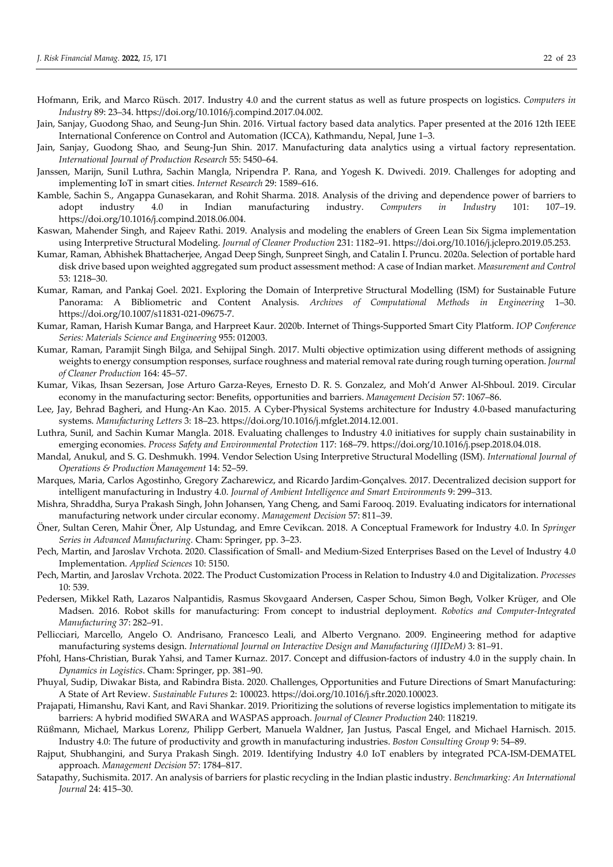- Hofmann, Erik, and Marco Rüsch. 2017. Industry 4.0 and the current status as well as future prospects on logistics. *Computers in Industry* 89: 23–34. https://doi.org/10.1016/j.compind.2017.04.002.
- Jain, Sanjay, Guodong Shao, and Seung-Jun Shin. 2016. Virtual factory based data analytics. Paper presented at the 2016 12th IEEE International Conference on Control and Automation (ICCA), Kathmandu, Nepal, June 1–3.
- Jain, Sanjay, Guodong Shao, and Seung-Jun Shin. 2017. Manufacturing data analytics using a virtual factory representation. *International Journal of Production Research* 55: 5450–64.
- Janssen, Marijn, Sunil Luthra, Sachin Mangla, Nripendra P. Rana, and Yogesh K. Dwivedi. 2019. Challenges for adopting and implementing IoT in smart cities. *Internet Research* 29: 1589–616.
- Kamble, Sachin S., Angappa Gunasekaran, and Rohit Sharma. 2018. Analysis of the driving and dependence power of barriers to adopt industry 4.0 in Indian manufacturing industry. *Computers in Industry* 101: 107–19. https://doi.org/10.1016/j.compind.2018.06.004.
- Kaswan, Mahender Singh, and Rajeev Rathi. 2019. Analysis and modeling the enablers of Green Lean Six Sigma implementation using Interpretive Structural Modeling. *Journal of Cleaner Production* 231: 1182–91. https://doi.org/10.1016/j.jclepro.2019.05.253.
- Kumar, Raman, Abhishek Bhattacherjee, Angad Deep Singh, Sunpreet Singh, and Catalin I. Pruncu. 2020a. Selection of portable hard disk drive based upon weighted aggregated sum product assessment method: A case of Indian market. *Measurement and Control* 53: 1218–30.
- Kumar, Raman, and Pankaj Goel. 2021. Exploring the Domain of Interpretive Structural Modelling (ISM) for Sustainable Future Panorama: A Bibliometric and Content Analysis. *Archives of Computational Methods in Engineering* 1–30. https://doi.org/10.1007/s11831-021-09675-7.
- Kumar, Raman, Harish Kumar Banga, and Harpreet Kaur. 2020b. Internet of Things-Supported Smart City Platform. *IOP Conference Series: Materials Science and Engineering* 955: 012003.
- Kumar, Raman, Paramjit Singh Bilga, and Sehijpal Singh. 2017. Multi objective optimization using different methods of assigning weights to energy consumption responses, surface roughness and material removal rate during rough turning operation. *Journal of Cleaner Production* 164: 45–57.
- Kumar, Vikas, Ihsan Sezersan, Jose Arturo Garza-Reyes, Ernesto D. R. S. Gonzalez, and Moh'd Anwer Al-Shboul. 2019. Circular economy in the manufacturing sector: Benefits, opportunities and barriers. *Management Decision* 57: 1067–86.
- Lee, Jay, Behrad Bagheri, and Hung-An Kao. 2015. A Cyber-Physical Systems architecture for Industry 4.0-based manufacturing systems. *Manufacturing Letters* 3: 18–23. https://doi.org/10.1016/j.mfglet.2014.12.001.
- Luthra, Sunil, and Sachin Kumar Mangla. 2018. Evaluating challenges to Industry 4.0 initiatives for supply chain sustainability in emerging economies. *Process Safety and Environmental Protection* 117: 168–79. https://doi.org/10.1016/j.psep.2018.04.018.
- Mandal, Anukul, and S. G. Deshmukh. 1994. Vendor Selection Using Interpretive Structural Modelling (ISM). *International Journal of Operations & Production Management* 14: 52–59.
- Marques, Maria, Carlos Agostinho, Gregory Zacharewicz, and Ricardo Jardim-Gonçalves. 2017. Decentralized decision support for intelligent manufacturing in Industry 4.0. *Journal of Ambient Intelligence and Smart Environments* 9: 299–313.
- Mishra, Shraddha, Surya Prakash Singh, John Johansen, Yang Cheng, and Sami Farooq. 2019. Evaluating indicators for international manufacturing network under circular economy. *Management Decision* 57: 811–39.
- Öner, Sultan Ceren, Mahir Öner, Alp Ustundag, and Emre Cevikcan. 2018. A Conceptual Framework for Industry 4.0. In *Springer Series in Advanced Manufacturing.* Cham: Springer, pp. 3–23.
- Pech, Martin, and Jaroslav Vrchota. 2020. Classification of Small- and Medium-Sized Enterprises Based on the Level of Industry 4.0 Implementation. *Applied Sciences* 10: 5150.
- Pech, Martin, and Jaroslav Vrchota. 2022. The Product Customization Process in Relation to Industry 4.0 and Digitalization. *Processes* 10: 539.
- Pedersen, Mikkel Rath, Lazaros Nalpantidis, Rasmus Skovgaard Andersen, Casper Schou, Simon Bøgh, Volker Krüger, and Ole Madsen. 2016. Robot skills for manufacturing: From concept to industrial deployment. *Robotics and Computer-Integrated Manufacturing* 37: 282–91.
- Pellicciari, Marcello, Angelo O. Andrisano, Francesco Leali, and Alberto Vergnano. 2009. Engineering method for adaptive manufacturing systems design. *International Journal on Interactive Design and Manufacturing (IJIDeM)* 3: 81–91.
- Pfohl, Hans-Christian, Burak Yahsi, and Tamer Kurnaz. 2017. Concept and diffusion-factors of industry 4.0 in the supply chain. In *Dynamics in Logistics*. Cham: Springer, pp. 381–90.
- Phuyal, Sudip, Diwakar Bista, and Rabindra Bista. 2020. Challenges, Opportunities and Future Directions of Smart Manufacturing: A State of Art Review. *Sustainable Futures* 2: 100023. https://doi.org/10.1016/j.sftr.2020.100023.
- Prajapati, Himanshu, Ravi Kant, and Ravi Shankar. 2019. Prioritizing the solutions of reverse logistics implementation to mitigate its barriers: A hybrid modified SWARA and WASPAS approach. *Journal of Cleaner Production* 240: 118219.
- Rüßmann, Michael, Markus Lorenz, Philipp Gerbert, Manuela Waldner, Jan Justus, Pascal Engel, and Michael Harnisch. 2015. Industry 4.0: The future of productivity and growth in manufacturing industries. *Boston Consulting Group* 9: 54–89.
- Rajput, Shubhangini, and Surya Prakash Singh. 2019. Identifying Industry 4.0 IoT enablers by integrated PCA-ISM-DEMATEL approach. *Management Decision* 57: 1784–817.
- Satapathy, Suchismita. 2017. An analysis of barriers for plastic recycling in the Indian plastic industry. *Benchmarking: An International Journal* 24: 415–30.